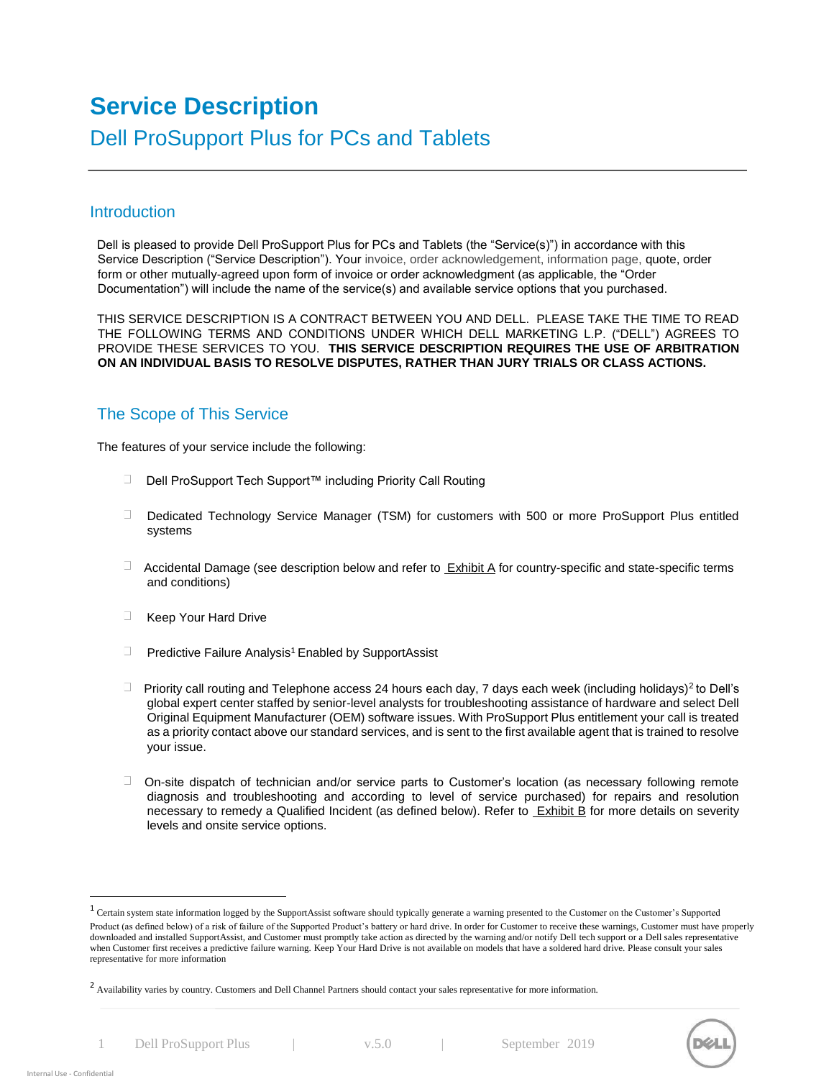# **Service Description**  Dell ProSupport Plus for PCs and Tablets

# **Introduction**

Dell is pleased to provide Dell ProSupport Plus for PCs and Tablets (the "Service(s)") in accordance with this Service Description ("Service Description"). Your invoice, order acknowledgement, information page, quote, order form or other mutually-agreed upon form of invoice or order acknowledgment (as applicable, the "Order Documentation") will include the name of the service(s) and available service options that you purchased.

THIS SERVICE DESCRIPTION IS A CONTRACT BETWEEN YOU AND DELL. PLEASE TAKE THE TIME TO READ THE FOLLOWING TERMS AND CONDITIONS UNDER WHICH DELL MARKETING L.P. ("DELL") AGREES TO PROVIDE THESE SERVICES TO YOU. **THIS SERVICE DESCRIPTION REQUIRES THE USE OF ARBITRATION ON AN INDIVIDUAL BASIS TO RESOLVE DISPUTES, RATHER THAN JURY TRIALS OR CLASS ACTIONS.** 

# The Scope of This Service

The features of your service include the following:

- Dell ProSupport Tech Support™ including Priority Call Routing
- $\Box$ Dedicated Technology Service Manager (TSM) for customers with 500 or more ProSupport Plus entitled systems
- $\Box$  Accidental Damage (see description below and refer to  $Exhibit A$  for country-specific and state-specific terms and conditions)
- Keep Your Hard Drive
- $\Box$  Predictive Failure Analysis<sup>1</sup> Enabled by SupportAssist
- Priority call routing and Telephone access 24 hours each day, 7 days each week (including holidays)<sup>2</sup> to Dell's global expert center staffed by senior-level analysts for troubleshooting assistance of hardware and select Dell Original Equipment Manufacturer (OEM) software issues. With ProSupport Plus entitlement your call is treated as a priority contact above our standard services, and is sent to the first available agent that is trained to resolve your issue.
- On-site dispatch of technician and/or service parts to Customer's location (as necessary following remote diagnosis and troubleshooting and according to level of service purchased) for repairs and resolution necessary to remedy a Qualified Incident (as defined below). Refer to Exhibit B for more details on severity levels and onsite service options.

1 Dell ProSupport Plus | v.5.0 | September 2019



l

<sup>&</sup>lt;sup>1</sup> Certain system state information logged by the SupportAssist software should typically generate a warning presented to the Customer on the Customer's Supported Product (as defined below) of a risk of failure of the Supported Product's battery or hard drive. In order for Customer to receive these warnings, Customer must have properly downloaded and installed SupportAssist, and Customer must promptly take action as directed by the warning and/or notify Dell tech support or a Dell sales representative when Customer first receives a predictive failure warning. Keep Your Hard Drive is not available on models that have a soldered hard drive. Please consult your sales representative for more information

<sup>&</sup>lt;sup>2</sup> Availability varies by country. Customers and Dell Channel Partners should contact your sales representative for more information.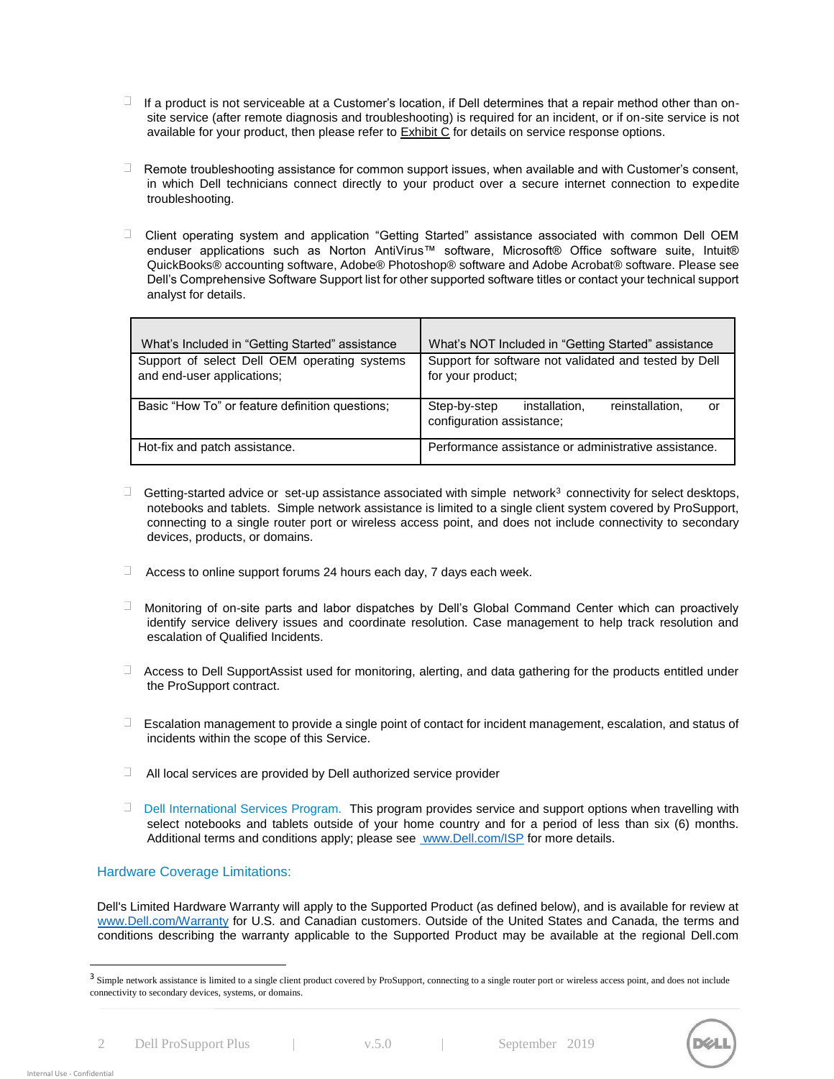- $\Box$ If a product is not serviceable at a Customer's location, if Dell determines that a repair method other than onsite service (after remote diagnosis and troubleshooting) is required for an incident, or if on-site service is not available for your product, then please refer to **Exhibit C** for details on service response options.
- $\square$ Remote troubleshooting assistance for common support issues, when available and with Customer's consent, in which Dell technicians connect directly to your product over a secure internet connection to expedite troubleshooting.
- $\Box$  Client operating system and application "Getting Started" assistance associated with common Dell OEM enduser applications such as Norton AntiVirus™ software, Microsoft® Office software suite, Intuit® QuickBooks® accounting software, Adobe® Photoshop® software and Adobe Acrobat® software. Please see Dell's Comprehensive Software Support list for other supported software titles or contact your technical support analyst for details.

| What's Included in "Getting Started" assistance                            | What's NOT Included in "Getting Started" assistance                                 |
|----------------------------------------------------------------------------|-------------------------------------------------------------------------------------|
| Support of select Dell OEM operating systems<br>and end-user applications; | Support for software not validated and tested by Dell<br>for your product;          |
| Basic "How To" or feature definition questions;                            | reinstallation.<br>Step-by-step<br>installation.<br>or<br>configuration assistance; |
| Hot-fix and patch assistance.                                              | Performance assistance or administrative assistance.                                |

- $\Box$ Getting-started advice or set-up assistance associated with simple network $3$  connectivity for select desktops, notebooks and tablets. Simple network assistance is limited to a single client system covered by ProSupport, connecting to a single router port or wireless access point, and does not include connectivity to secondary devices, products, or domains.
- $\Box$  Access to online support forums 24 hours each day, 7 days each week.
- $\Box$ Monitoring of on-site parts and labor dispatches by Dell's Global Command Center which can proactively identify service delivery issues and coordinate resolution. Case management to help track resolution and escalation of Qualified Incidents.
- Access to Dell SupportAssist used for monitoring, alerting, and data gathering for the products entitled under the ProSupport contract.
- $\Box$  Escalation management to provide a single point of contact for incident management, escalation, and status of incidents within the scope of this Service.
- $\Box$ All local services are provided by Dell authorized service provider
- $\Box$ Dell International Services Program. This program provides service and support options when travelling with select notebooks and tablets outside of your home country and for a period of less than six (6) months. Additional terms and conditions apply; please see [www.Dell.com/ISP](http://www.dell.com/ISP) [fo](http://www.dell.com/ISP)r more details.

#### Hardware Coverage Limitations:

Dell's Limited Hardware Warranty will apply to the Supported Product (as defined below), and is available for review at [www.Dell.com/Warranty](http://www.dell.com/Warranty) [fo](http://www.dell.com/Warranty)r U.S. and Canadian customers. Outside of the United States and Canada, the terms and conditions describing the warranty applicable to the Supported Product may be available at the regional Dell.com

2 Dell ProSupport Plus | v.5.0 | September 2019



l

<sup>&</sup>lt;sup>3</sup> Simple network assistance is limited to a single client product covered by ProSupport, connecting to a single router port or wireless access point, and does not include connectivity to secondary devices, systems, or domains.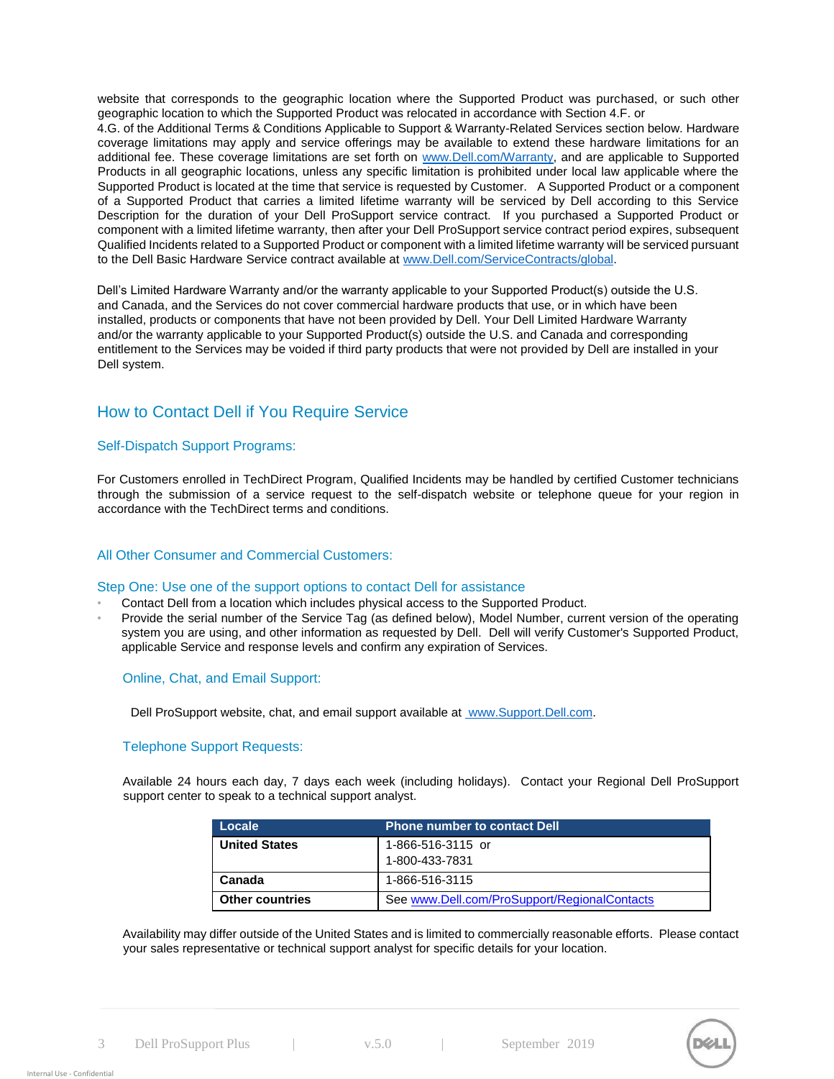website that corresponds to the geographic location where the Supported Product was purchased, or such other geographic location to which the Supported Product was relocated in accordance with Section 4.F. or

4.G. of the Additional Terms & Conditions Applicable to Support & Warranty-Related Services section below. Hardware coverage limitations may apply and service offerings may be available to extend these hardware limitations for an additional fee. These coverage limitations are set forth on [www.Dell.com/Warranty,](http://www.dell.com/Warranty) [an](http://www.dell.com/Warranty)d are applicable to Supported Products in all geographic locations, unless any specific limitation is prohibited under local law applicable where the Supported Product is located at the time that service is requested by Customer. A Supported Product or a component of a Supported Product that carries a limited lifetime warranty will be serviced by Dell according to this Service Description for the duration of your Dell ProSupport service contract. If you purchased a Supported Product or component with a limited lifetime warranty, then after your Dell ProSupport service contract period expires, subsequent Qualified Incidents related to a Supported Product or component with a limited lifetime warranty will be serviced pursuant to the Dell Basic Hardware Service contract available a[t](http://www.dell.com/ServiceContracts/global) [www.Dell.com/ServiceContracts/global.](http://www.dell.com/ServiceContracts/global)

Dell's Limited Hardware Warranty and/or the warranty applicable to your Supported Product(s) outside the U.S. and Canada, and the Services do not cover commercial hardware products that use, or in which have been installed, products or components that have not been provided by Dell. Your Dell Limited Hardware Warranty and/or the warranty applicable to your Supported Product(s) outside the U.S. and Canada and corresponding entitlement to the Services may be voided if third party products that were not provided by Dell are installed in your Dell system.

# How to Contact Dell if You Require Service

#### Self-Dispatch Support Programs:

For Customers enrolled in TechDirect Program, Qualified Incidents may be handled by certified Customer technicians through the submission of a service request to the self-dispatch website or telephone queue for your region in accordance with the TechDirect terms and conditions.

#### All Other Consumer and Commercial Customers:

#### Step One: Use one of the support options to contact Dell for assistance

- Contact Dell from a location which includes physical access to the Supported Product.
- Provide the serial number of the Service Tag (as defined below), Model Number, current version of the operating system you are using, and other information as requested by Dell. Dell will verify Customer's Supported Product, applicable Service and response levels and confirm any expiration of Services.

#### Online, Chat, and Email Support:

Dell ProSuppor[t](http://www.support.dell.com/) website, chat, and email support available at [www.Support.Dell.com.](http://www.support.dell.com/)

### Telephone Support Requests:

Available 24 hours each day, 7 days each week (including holidays). Contact your Regional Dell ProSupport support center to speak to a technical support analyst.

| Locale                 | <b>Phone number to contact Dell</b>          |
|------------------------|----------------------------------------------|
| <b>United States</b>   | 1-866-516-3115 or                            |
|                        | 1-800-433-7831                               |
| Canada                 | 1-866-516-3115                               |
| <b>Other countries</b> | See www.Dell.com/ProSupport/RegionalContacts |

Availability may differ outside of the United States and is limited to commercially reasonable efforts. Please contact your sales representative or technical support analyst for specific details for your location.

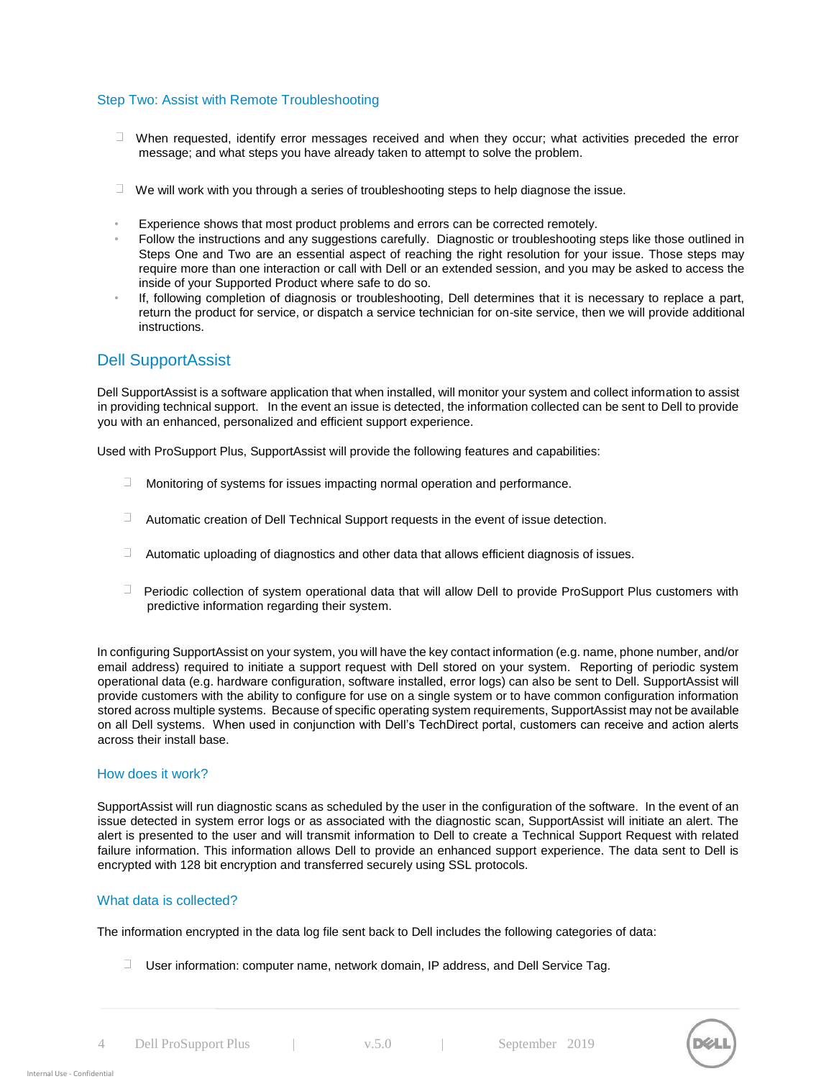#### Step Two: Assist with Remote Troubleshooting

- $\Box$  When requested, identify error messages received and when they occur; what activities preceded the error message; and what steps you have already taken to attempt to solve the problem.
- $\Box$  We will work with you through a series of troubleshooting steps to help diagnose the issue.
- Experience shows that most product problems and errors can be corrected remotely.
- Follow the instructions and any suggestions carefully. Diagnostic or troubleshooting steps like those outlined in Steps One and Two are an essential aspect of reaching the right resolution for your issue. Those steps may require more than one interaction or call with Dell or an extended session, and you may be asked to access the inside of your Supported Product where safe to do so.
- If, following completion of diagnosis or troubleshooting, Dell determines that it is necessary to replace a part, return the product for service, or dispatch a service technician for on-site service, then we will provide additional instructions.

### Dell SupportAssist

Dell SupportAssist is a software application that when installed, will monitor your system and collect information to assist in providing technical support. In the event an issue is detected, the information collected can be sent to Dell to provide you with an enhanced, personalized and efficient support experience.

Used with ProSupport Plus, SupportAssist will provide the following features and capabilities:

- $\square$ Monitoring of systems for issues impacting normal operation and performance.
- $\Box$  Automatic creation of Dell Technical Support requests in the event of issue detection.
- $\Box$  Automatic uploading of diagnostics and other data that allows efficient diagnosis of issues.
- $\Box$  Periodic collection of system operational data that will allow Dell to provide ProSupport Plus customers with predictive information regarding their system.

In configuring SupportAssist on your system, you will have the key contact information (e.g. name, phone number, and/or email address) required to initiate a support request with Dell stored on your system. Reporting of periodic system operational data (e.g. hardware configuration, software installed, error logs) can also be sent to Dell. SupportAssist will provide customers with the ability to configure for use on a single system or to have common configuration information stored across multiple systems. Because of specific operating system requirements, SupportAssist may not be available on all Dell systems. When used in conjunction with Dell's TechDirect portal, customers can receive and action alerts across their install base.

#### How does it work?

SupportAssist will run diagnostic scans as scheduled by the user in the configuration of the software. In the event of an issue detected in system error logs or as associated with the diagnostic scan, SupportAssist will initiate an alert. The alert is presented to the user and will transmit information to Dell to create a Technical Support Request with related failure information. This information allows Dell to provide an enhanced support experience. The data sent to Dell is encrypted with 128 bit encryption and transferred securely using SSL protocols.

#### What data is collected?

The information encrypted in the data log file sent back to Dell includes the following categories of data:

 $\Box$  User information: computer name, network domain, IP address, and Dell Service Tag.

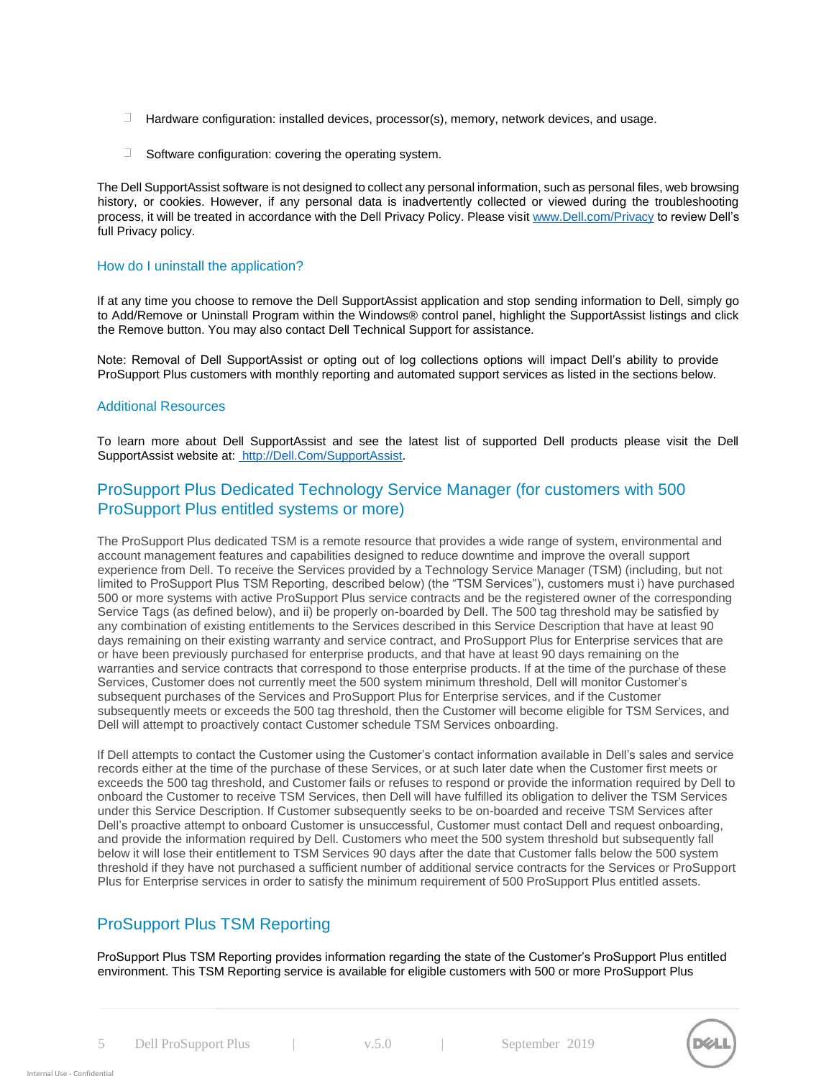- $\Box$  Hardware configuration: installed devices, processor(s), memory, network devices, and usage.
- $\Box$  . Software configuration: covering the operating system.

The Dell SupportAssist software is not designed to collect any personal information, such as personal files, web browsing history, or cookies. However, if any personal data is inadvertently collected or viewed during the troubleshooting process, it will be treated in accordance with the Dell Privacy Policy. Please vi[sit www.Dell.com/Privacy](http://www.dell.com/Privacy) to review Dell's full Privacy policy.

#### How do I uninstall the application?

If at any time you choose to remove the Dell SupportAssist application and stop sending information to Dell, simply go to Add/Remove or Uninstall Program within the Windows® control panel, highlight the SupportAssist listings and click the Remove button. You may also contact Dell Technical Support for assistance.

Note: Removal of Dell SupportAssist or opting out of log collections options will impact Dell's ability to provide ProSupport Plus customers with monthly reporting and automated support services as listed in the sections below.

#### Additional Resources

To learn more about Dell SupportAssist and see the latest list of supported Dell products please visit the Dell SupportAssist website at[:](http://dell.com/SupportAssist) [http://Dell.Com/SupportAssist.](http://dell.com/SupportAssist)

# ProSupport Plus Dedicated Technology Service Manager (for customers with 500 ProSupport Plus entitled systems or more)

The ProSupport Plus dedicated TSM is a remote resource that provides a wide range of system, environmental and account management features and capabilities designed to reduce downtime and improve the overall support experience from Dell. To receive the Services provided by a Technology Service Manager (TSM) (including, but not limited to ProSupport Plus TSM Reporting, described below) (the "TSM Services"), customers must i) have purchased 500 or more systems with active ProSupport Plus service contracts and be the registered owner of the corresponding Service Tags (as defined below), and ii) be properly on-boarded by Dell. The 500 tag threshold may be satisfied by any combination of existing entitlements to the Services described in this Service Description that have at least 90 days remaining on their existing warranty and service contract, and ProSupport Plus for Enterprise services that are or have been previously purchased for enterprise products, and that have at least 90 days remaining on the warranties and service contracts that correspond to those enterprise products. If at the time of the purchase of these Services, Customer does not currently meet the 500 system minimum threshold, Dell will monitor Customer's subsequent purchases of the Services and ProSupport Plus for Enterprise services, and if the Customer subsequently meets or exceeds the 500 tag threshold, then the Customer will become eligible for TSM Services, and Dell will attempt to proactively contact Customer schedule TSM Services onboarding.

If Dell attempts to contact the Customer using the Customer's contact information available in Dell's sales and service records either at the time of the purchase of these Services, or at such later date when the Customer first meets or exceeds the 500 tag threshold, and Customer fails or refuses to respond or provide the information required by Dell to onboard the Customer to receive TSM Services, then Dell will have fulfilled its obligation to deliver the TSM Services under this Service Description. If Customer subsequently seeks to be on-boarded and receive TSM Services after Dell's proactive attempt to onboard Customer is unsuccessful, Customer must contact Dell and request onboarding, and provide the information required by Dell. Customers who meet the 500 system threshold but subsequently fall below it will lose their entitlement to TSM Services 90 days after the date that Customer falls below the 500 system threshold if they have not purchased a sufficient number of additional service contracts for the Services or ProSupport Plus for Enterprise services in order to satisfy the minimum requirement of 500 ProSupport Plus entitled assets.

# ProSupport Plus TSM Reporting

ProSupport Plus TSM Reporting provides information regarding the state of the Customer's ProSupport Plus entitled environment. This TSM Reporting service is available for eligible customers with 500 or more ProSupport Plus

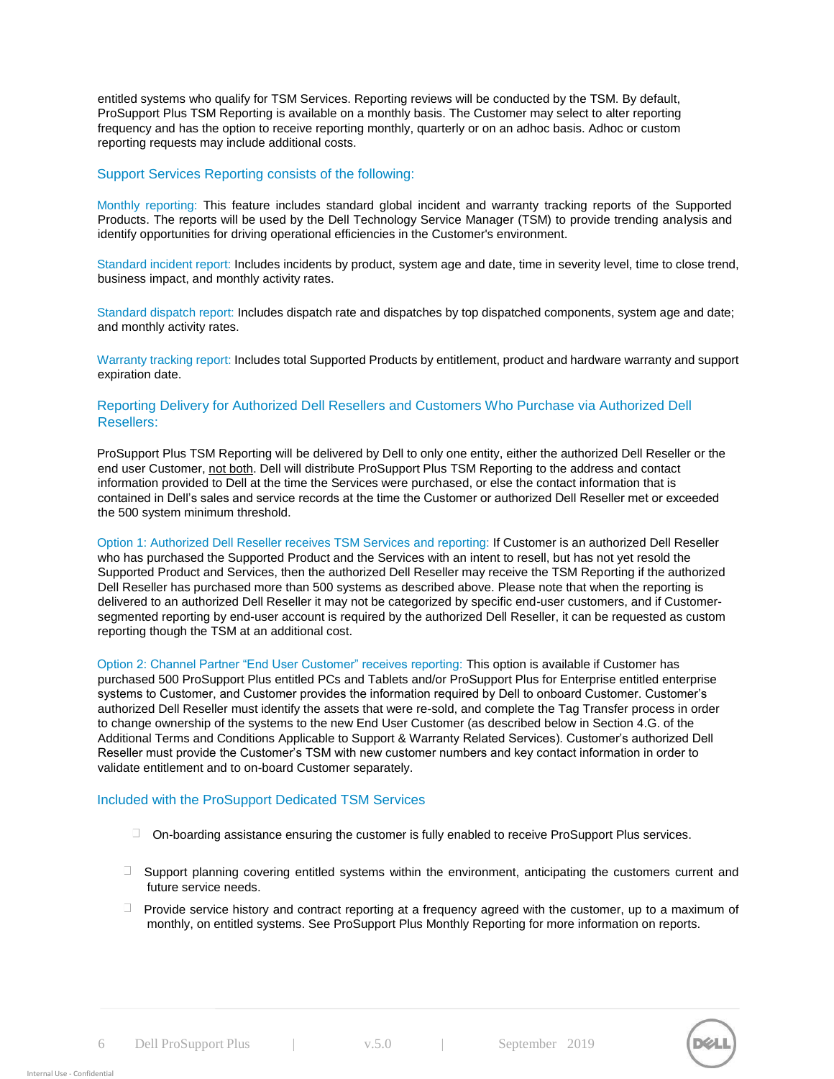entitled systems who qualify for TSM Services. Reporting reviews will be conducted by the TSM. By default, ProSupport Plus TSM Reporting is available on a monthly basis. The Customer may select to alter reporting frequency and has the option to receive reporting monthly, quarterly or on an adhoc basis. Adhoc or custom reporting requests may include additional costs.

#### Support Services Reporting consists of the following:

Monthly reporting: This feature includes standard global incident and warranty tracking reports of the Supported Products. The reports will be used by the Dell Technology Service Manager (TSM) to provide trending analysis and identify opportunities for driving operational efficiencies in the Customer's environment.

Standard incident report: Includes incidents by product, system age and date, time in severity level, time to close trend, business impact, and monthly activity rates.

Standard dispatch report: Includes dispatch rate and dispatches by top dispatched components, system age and date; and monthly activity rates.

Warranty tracking report: Includes total Supported Products by entitlement, product and hardware warranty and support expiration date.

#### Reporting Delivery for Authorized Dell Resellers and Customers Who Purchase via Authorized Dell Resellers:

ProSupport Plus TSM Reporting will be delivered by Dell to only one entity, either the authorized Dell Reseller or the end user Customer, not both. Dell will distribute ProSupport Plus TSM Reporting to the address and contact information provided to Dell at the time the Services were purchased, or else the contact information that is contained in Dell's sales and service records at the time the Customer or authorized Dell Reseller met or exceeded the 500 system minimum threshold.

Option 1: Authorized Dell Reseller receives TSM Services and reporting: If Customer is an authorized Dell Reseller who has purchased the Supported Product and the Services with an intent to resell, but has not yet resold the Supported Product and Services, then the authorized Dell Reseller may receive the TSM Reporting if the authorized Dell Reseller has purchased more than 500 systems as described above. Please note that when the reporting is delivered to an authorized Dell Reseller it may not be categorized by specific end-user customers, and if Customersegmented reporting by end-user account is required by the authorized Dell Reseller, it can be requested as custom reporting though the TSM at an additional cost.

Option 2: Channel Partner "End User Customer" receives reporting: This option is available if Customer has purchased 500 ProSupport Plus entitled PCs and Tablets and/or ProSupport Plus for Enterprise entitled enterprise systems to Customer, and Customer provides the information required by Dell to onboard Customer. Customer's authorized Dell Reseller must identify the assets that were re-sold, and complete the Tag Transfer process in order to change ownership of the systems to the new End User Customer (as described below in Section 4.G. of the Additional Terms and Conditions Applicable to Support & Warranty Related Services). Customer's authorized Dell Reseller must provide the Customer's TSM with new customer numbers and key contact information in order to validate entitlement and to on-board Customer separately.

#### Included with the ProSupport Dedicated TSM Services

- $\Box$  On-boarding assistance ensuring the customer is fully enabled to receive ProSupport Plus services.
- $\Box$  Support planning covering entitled systems within the environment, anticipating the customers current and future service needs.
- $\Box$  Provide service history and contract reporting at a frequency agreed with the customer, up to a maximum of monthly, on entitled systems. See ProSupport Plus Monthly Reporting for more information on reports.

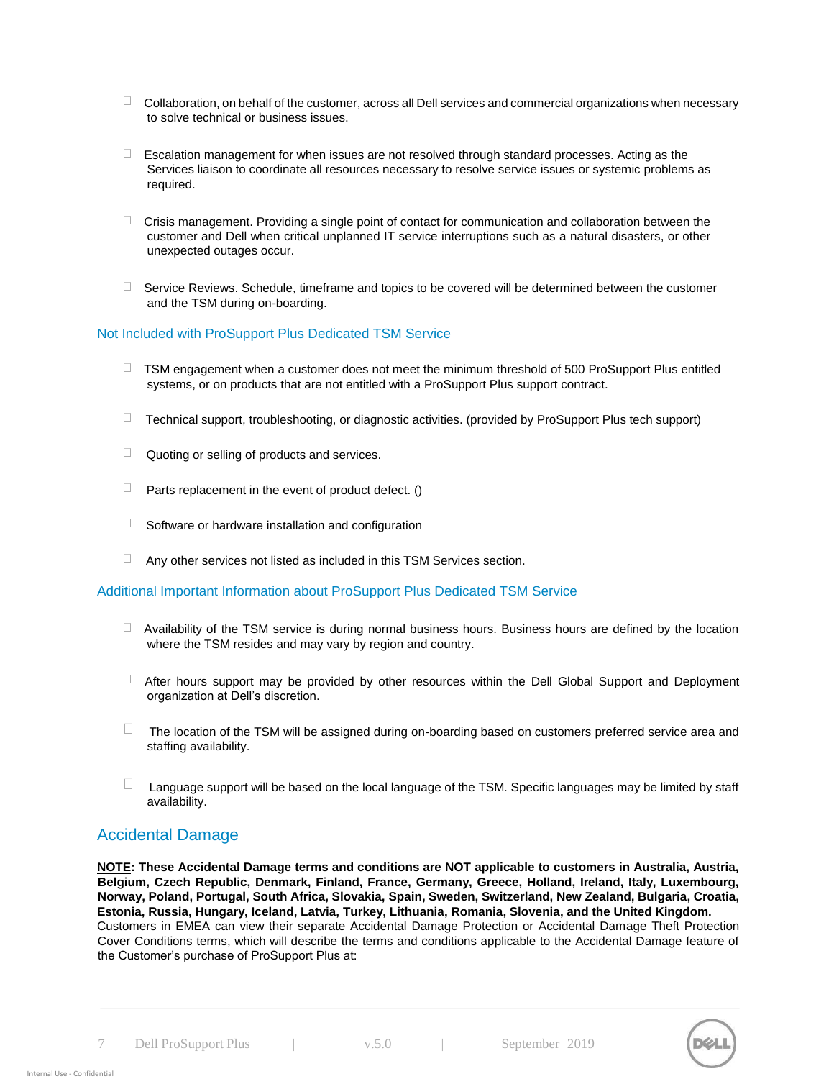- $\Box$  Collaboration, on behalf of the customer, across all Dell services and commercial organizations when necessary to solve technical or business issues.
- $\square$ Escalation management for when issues are not resolved through standard processes. Acting as the Services liaison to coordinate all resources necessary to resolve service issues or systemic problems as required.
- $\Box$  Crisis management. Providing a single point of contact for communication and collaboration between the customer and Dell when critical unplanned IT service interruptions such as a natural disasters, or other unexpected outages occur.
- $\Box$  Service Reviews. Schedule, timeframe and topics to be covered will be determined between the customer and the TSM during on-boarding.

#### Not Included with ProSupport Plus Dedicated TSM Service

- $\Box$  TSM engagement when a customer does not meet the minimum threshold of 500 ProSupport Plus entitled systems, or on products that are not entitled with a ProSupport Plus support contract.
- $\Box$  Technical support, troubleshooting, or diagnostic activities. (provided by ProSupport Plus tech support)
- $\Box$  Quoting or selling of products and services.
- $\Box$  Parts replacement in the event of product defect. ()
- $\Box$  Software or hardware installation and configuration
- $\Box$ Any other services not listed as included in this TSM Services section.

### Additional Important Information about ProSupport Plus Dedicated TSM Service

- $\Box$  Availability of the TSM service is during normal business hours. Business hours are defined by the location where the TSM resides and may vary by region and country.
- After hours support may be provided by other resources within the Dell Global Support and Deployment organization at Dell's discretion.
- $\Box$  The location of the TSM will be assigned during on-boarding based on customers preferred service area and staffing availability.
- $\Box$  Language support will be based on the local language of the TSM. Specific languages may be limited by staff availability.

### Accidental Damage

**NOTE: These Accidental Damage terms and conditions are NOT applicable to customers in Australia, Austria, Belgium, Czech Republic, Denmark, Finland, France, Germany, Greece, Holland, Ireland, Italy, Luxembourg, Norway, Poland, Portugal, South Africa, Slovakia, Spain, Sweden, Switzerland, New Zealand, Bulgaria, Croatia, Estonia, Russia, Hungary, Iceland, Latvia, Turkey, Lithuania, Romania, Slovenia, and the United Kingdom.**  Customers in EMEA can view their separate Accidental Damage Protection or Accidental Damage Theft Protection Cover Conditions terms, which will describe the terms and conditions applicable to the Accidental Damage feature of the Customer's purchase of ProSupport Plus at:

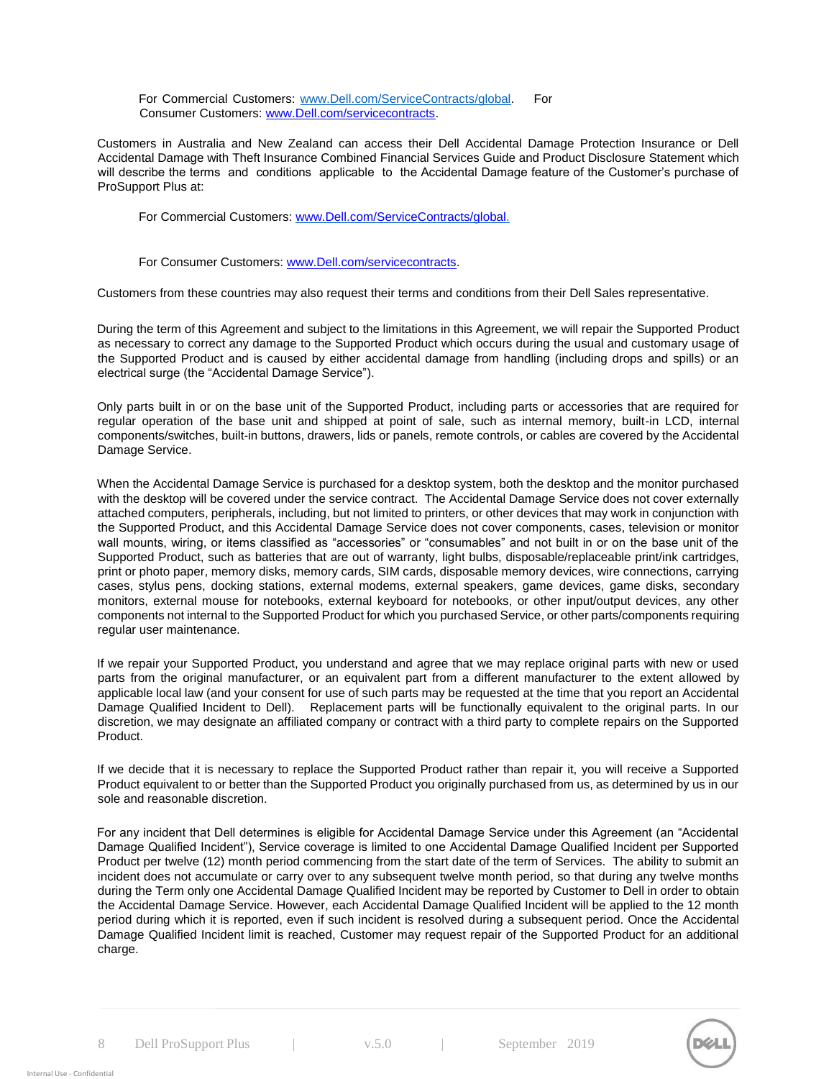For Commercial Customers: [www.Dell.com/ServiceContracts/global. F](http://www.dell.com/servicecontracts/global)or Consumer Customers: [www.Dell.com/servicecontracts.](http://www.dell.com/servicecontracts) 

Customers in Australia and New Zealand can access their Dell Accidental Damage Protection Insurance or Dell Accidental Damage with Theft Insurance Combined Financial Services Guide and Product Disclosure Statement which will describe the terms and conditions applicable to the Accidental Damage feature of the Customer's purchase of ProSupport Plus at:

For Commercial Customers: [www.Dell.com/ServiceContracts/global.](http://www.dell.com/ServiceContracts/global)

For Consumer Customers[: www.Dell.com/servicecontracts.](http://www.dell.com/servicecontracts) 

Customers from these countries may also request their terms and conditions from their Dell Sales representative.

During the term of this Agreement and subject to the limitations in this Agreement, we will repair the Supported Product as necessary to correct any damage to the Supported Product which occurs during the usual and customary usage of the Supported Product and is caused by either accidental damage from handling (including drops and spills) or an electrical surge (the "Accidental Damage Service").

Only parts built in or on the base unit of the Supported Product, including parts or accessories that are required for regular operation of the base unit and shipped at point of sale, such as internal memory, built-in LCD, internal components/switches, built-in buttons, drawers, lids or panels, remote controls, or cables are covered by the Accidental Damage Service.

When the Accidental Damage Service is purchased for a desktop system, both the desktop and the monitor purchased with the desktop will be covered under the service contract. The Accidental Damage Service does not cover externally attached computers, peripherals, including, but not limited to printers, or other devices that may work in conjunction with the Supported Product, and this Accidental Damage Service does not cover components, cases, television or monitor wall mounts, wiring, or items classified as "accessories" or "consumables" and not built in or on the base unit of the Supported Product, such as batteries that are out of warranty, light bulbs, disposable/replaceable print/ink cartridges, print or photo paper, memory disks, memory cards, SIM cards, disposable memory devices, wire connections, carrying cases, stylus pens, docking stations, external modems, external speakers, game devices, game disks, secondary monitors, external mouse for notebooks, external keyboard for notebooks, or other input/output devices, any other components not internal to the Supported Product for which you purchased Service, or other parts/components requiring regular user maintenance.

If we repair your Supported Product, you understand and agree that we may replace original parts with new or used parts from the original manufacturer, or an equivalent part from a different manufacturer to the extent allowed by applicable local law (and your consent for use of such parts may be requested at the time that you report an Accidental Damage Qualified Incident to Dell). Replacement parts will be functionally equivalent to the original parts. In our discretion, we may designate an affiliated company or contract with a third party to complete repairs on the Supported Product.

If we decide that it is necessary to replace the Supported Product rather than repair it, you will receive a Supported Product equivalent to or better than the Supported Product you originally purchased from us, as determined by us in our sole and reasonable discretion.

For any incident that Dell determines is eligible for Accidental Damage Service under this Agreement (an "Accidental Damage Qualified Incident"), Service coverage is limited to one Accidental Damage Qualified Incident per Supported Product per twelve (12) month period commencing from the start date of the term of Services. The ability to submit an incident does not accumulate or carry over to any subsequent twelve month period, so that during any twelve months during the Term only one Accidental Damage Qualified Incident may be reported by Customer to Dell in order to obtain the Accidental Damage Service. However, each Accidental Damage Qualified Incident will be applied to the 12 month period during which it is reported, even if such incident is resolved during a subsequent period. Once the Accidental Damage Qualified Incident limit is reached, Customer may request repair of the Supported Product for an additional charge.

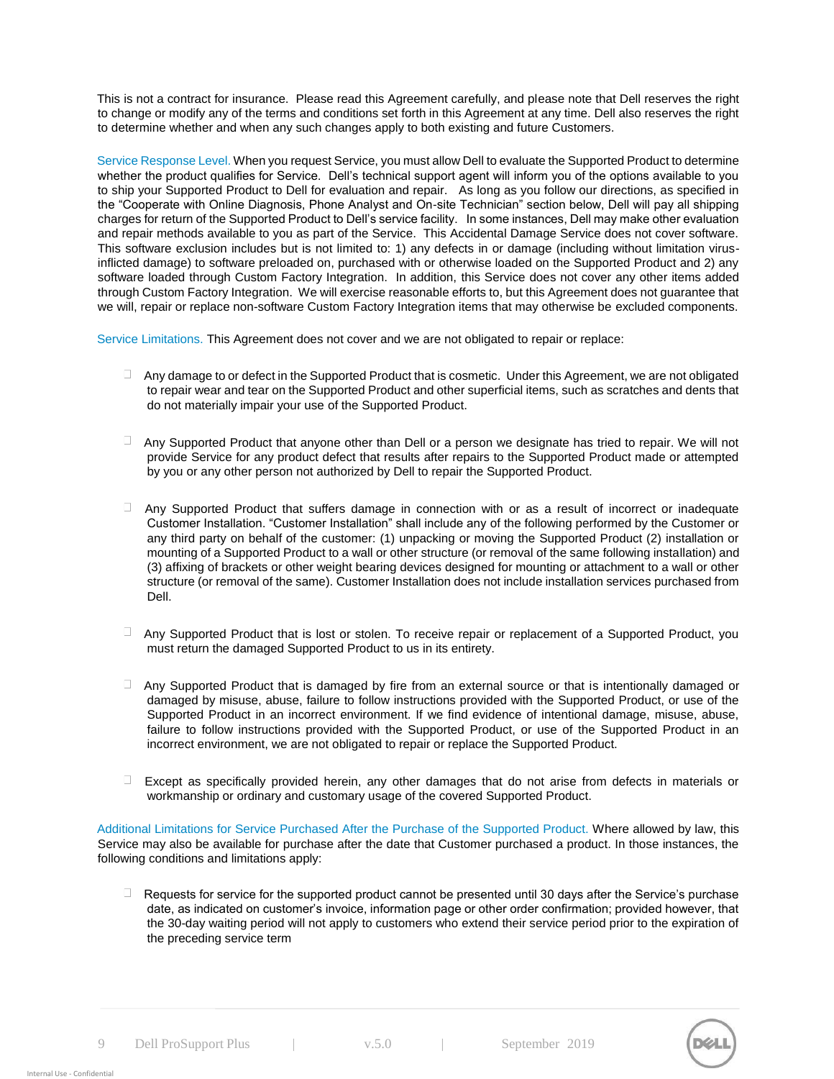This is not a contract for insurance. Please read this Agreement carefully, and please note that Dell reserves the right to change or modify any of the terms and conditions set forth in this Agreement at any time. Dell also reserves the right to determine whether and when any such changes apply to both existing and future Customers.

Service Response Level. When you request Service, you must allow Dell to evaluate the Supported Product to determine whether the product qualifies for Service. Dell's technical support agent will inform you of the options available to you to ship your Supported Product to Dell for evaluation and repair. As long as you follow our directions, as specified in the "Cooperate with Online Diagnosis, Phone Analyst and On-site Technician" section below, Dell will pay all shipping charges for return of the Supported Product to Dell's service facility. In some instances, Dell may make other evaluation and repair methods available to you as part of the Service. This Accidental Damage Service does not cover software. This software exclusion includes but is not limited to: 1) any defects in or damage (including without limitation virusinflicted damage) to software preloaded on, purchased with or otherwise loaded on the Supported Product and 2) any software loaded through Custom Factory Integration. In addition, this Service does not cover any other items added through Custom Factory Integration. We will exercise reasonable efforts to, but this Agreement does not guarantee that we will, repair or replace non-software Custom Factory Integration items that may otherwise be excluded components.

Service Limitations. This Agreement does not cover and we are not obligated to repair or replace:

- $\Box$  Any damage to or defect in the Supported Product that is cosmetic. Under this Agreement, we are not obligated to repair wear and tear on the Supported Product and other superficial items, such as scratches and dents that do not materially impair your use of the Supported Product.
- $\Box$  Any Supported Product that anyone other than Dell or a person we designate has tried to repair. We will not provide Service for any product defect that results after repairs to the Supported Product made or attempted by you or any other person not authorized by Dell to repair the Supported Product.
- $\Box$  Any Supported Product that suffers damage in connection with or as a result of incorrect or inadequate Customer Installation. "Customer Installation" shall include any of the following performed by the Customer or any third party on behalf of the customer: (1) unpacking or moving the Supported Product (2) installation or mounting of a Supported Product to a wall or other structure (or removal of the same following installation) and (3) affixing of brackets or other weight bearing devices designed for mounting or attachment to a wall or other structure (or removal of the same). Customer Installation does not include installation services purchased from Dell.
- Any Supported Product that is lost or stolen. To receive repair or replacement of a Supported Product, you must return the damaged Supported Product to us in its entirety.
- $\Box$  Any Supported Product that is damaged by fire from an external source or that is intentionally damaged or damaged by misuse, abuse, failure to follow instructions provided with the Supported Product, or use of the Supported Product in an incorrect environment. If we find evidence of intentional damage, misuse, abuse, failure to follow instructions provided with the Supported Product, or use of the Supported Product in an incorrect environment, we are not obligated to repair or replace the Supported Product.
- $\Box$ Except as specifically provided herein, any other damages that do not arise from defects in materials or workmanship or ordinary and customary usage of the covered Supported Product.

Additional Limitations for Service Purchased After the Purchase of the Supported Product. Where allowed by law, this Service may also be available for purchase after the date that Customer purchased a product. In those instances, the following conditions and limitations apply:

 $\Box$ Requests for service for the supported product cannot be presented until 30 days after the Service's purchase date, as indicated on customer's invoice, information page or other order confirmation; provided however, that the 30-day waiting period will not apply to customers who extend their service period prior to the expiration of the preceding service term

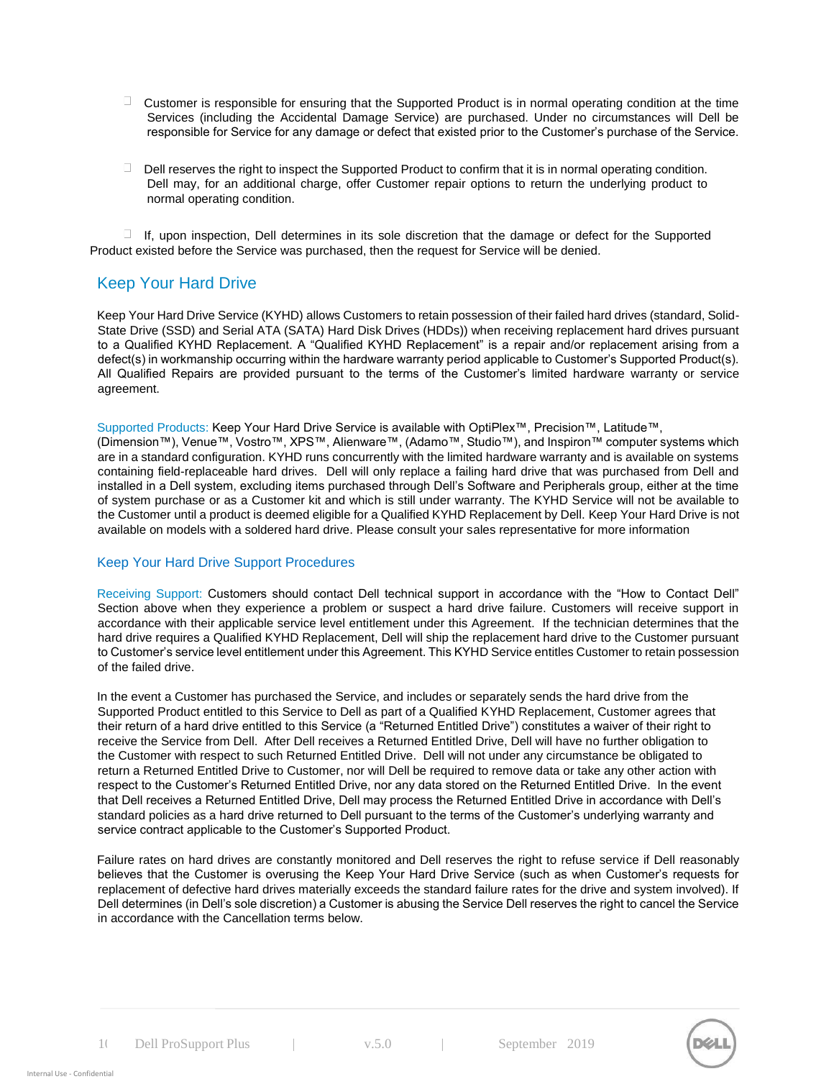- $\Box$  Customer is responsible for ensuring that the Supported Product is in normal operating condition at the time Services (including the Accidental Damage Service) are purchased. Under no circumstances will Dell be responsible for Service for any damage or defect that existed prior to the Customer's purchase of the Service.
- $\Box$ Dell reserves the right to inspect the Supported Product to confirm that it is in normal operating condition. Dell may, for an additional charge, offer Customer repair options to return the underlying product to normal operating condition.

 $\Box$  If, upon inspection, Dell determines in its sole discretion that the damage or defect for the Supported Product existed before the Service was purchased, then the request for Service will be denied.

# Keep Your Hard Drive

Keep Your Hard Drive Service (KYHD) allows Customers to retain possession of their failed hard drives (standard, Solid-State Drive (SSD) and Serial ATA (SATA) Hard Disk Drives (HDDs)) when receiving replacement hard drives pursuant to a Qualified KYHD Replacement. A "Qualified KYHD Replacement" is a repair and/or replacement arising from a defect(s) in workmanship occurring within the hardware warranty period applicable to Customer's Supported Product(s). All Qualified Repairs are provided pursuant to the terms of the Customer's limited hardware warranty or service agreement.

Supported Products: Keep Your Hard Drive Service is available with OptiPlex™, Precision™, Latitude™, (Dimension™), Venue™, Vostro™, XPS™, Alienware™, (Adamo™, Studio™), and Inspiron™ computer systems which are in a standard configuration. KYHD runs concurrently with the limited hardware warranty and is available on systems containing field-replaceable hard drives. Dell will only replace a failing hard drive that was purchased from Dell and installed in a Dell system, excluding items purchased through Dell's Software and Peripherals group, either at the time of system purchase or as a Customer kit and which is still under warranty. The KYHD Service will not be available to the Customer until a product is deemed eligible for a Qualified KYHD Replacement by Dell. Keep Your Hard Drive is not available on models with a soldered hard drive. Please consult your sales representative for more information

#### Keep Your Hard Drive Support Procedures

Receiving Support: Customers should contact Dell technical support in accordance with the "How to Contact Dell" Section above when they experience a problem or suspect a hard drive failure. Customers will receive support in accordance with their applicable service level entitlement under this Agreement. If the technician determines that the hard drive requires a Qualified KYHD Replacement, Dell will ship the replacement hard drive to the Customer pursuant to Customer's service level entitlement under this Agreement. This KYHD Service entitles Customer to retain possession of the failed drive.

In the event a Customer has purchased the Service, and includes or separately sends the hard drive from the Supported Product entitled to this Service to Dell as part of a Qualified KYHD Replacement, Customer agrees that their return of a hard drive entitled to this Service (a "Returned Entitled Drive") constitutes a waiver of their right to receive the Service from Dell. After Dell receives a Returned Entitled Drive, Dell will have no further obligation to the Customer with respect to such Returned Entitled Drive. Dell will not under any circumstance be obligated to return a Returned Entitled Drive to Customer, nor will Dell be required to remove data or take any other action with respect to the Customer's Returned Entitled Drive, nor any data stored on the Returned Entitled Drive. In the event that Dell receives a Returned Entitled Drive, Dell may process the Returned Entitled Drive in accordance with Dell's standard policies as a hard drive returned to Dell pursuant to the terms of the Customer's underlying warranty and service contract applicable to the Customer's Supported Product.

Failure rates on hard drives are constantly monitored and Dell reserves the right to refuse service if Dell reasonably believes that the Customer is overusing the Keep Your Hard Drive Service (such as when Customer's requests for replacement of defective hard drives materially exceeds the standard failure rates for the drive and system involved). If Dell determines (in Dell's sole discretion) a Customer is abusing the Service Dell reserves the right to cancel the Service in accordance with the Cancellation terms below.

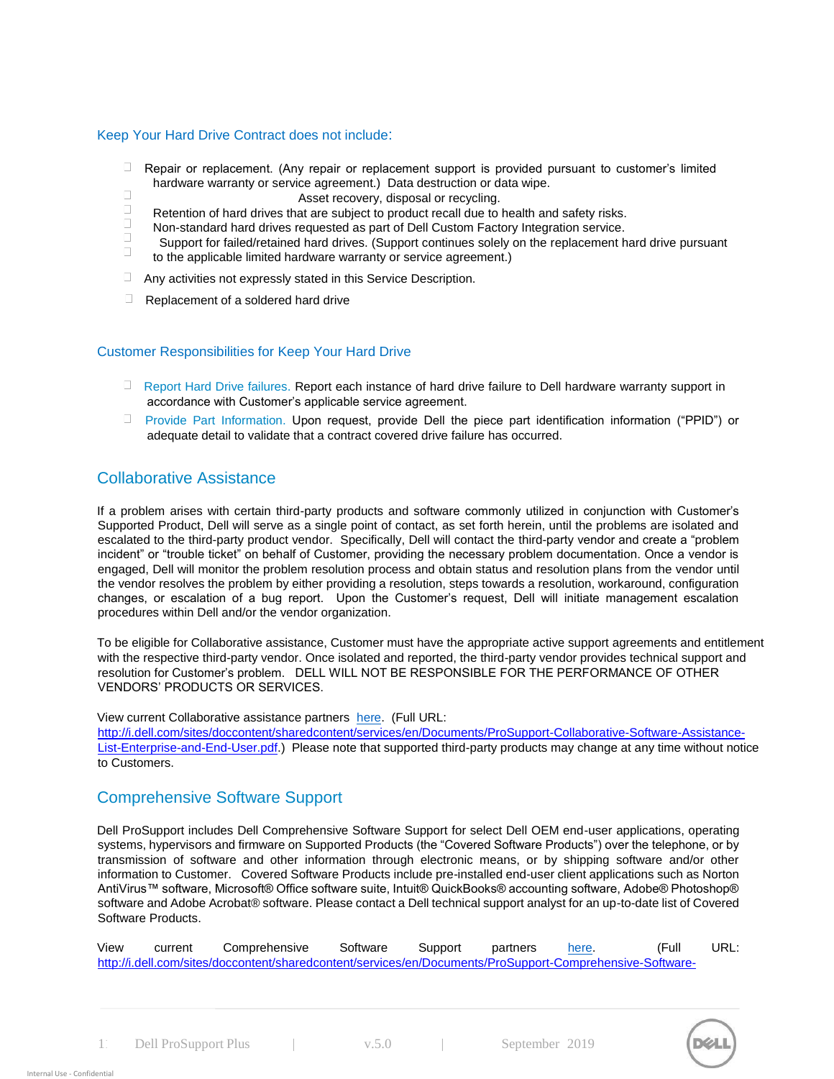#### Keep Your Hard Drive Contract does not include:

- $\Box$ Repair or replacement. (Any repair or replacement support is provided pursuant to customer's limited hardware warranty or service agreement.) Data destruction or data wipe.  $\Box$ 
	- Asset recovery, disposal or recycling.
- $\Box$ Retention of hard drives that are subject to product recall due to health and safety risks.
- $\Box$ Non-standard hard drives requested as part of Dell Custom Factory Integration service.
- Support for failed/retained hard drives. (Support continues solely on the replacement hard drive pursuant  $\Box$ to the applicable limited hardware warranty or service agreement.)
- Any activities not expressly stated in this Service Description.
- $\Box$ Replacement of a soldered hard drive

#### Customer Responsibilities for Keep Your Hard Drive

- **Report Hard Drive failures. Report each instance of hard drive failure to Dell hardware warranty support in** accordance with Customer's applicable service agreement.
- $\Box$  . Provide Part Information. Upon request, provide Dell the piece part identification information ("PPID") or adequate detail to validate that a contract covered drive failure has occurred.

### Collaborative Assistance

If a problem arises with certain third-party products and software commonly utilized in conjunction with Customer's Supported Product, Dell will serve as a single point of contact, as set forth herein, until the problems are isolated and escalated to the third-party product vendor. Specifically, Dell will contact the third-party vendor and create a "problem incident" or "trouble ticket" on behalf of Customer, providing the necessary problem documentation. Once a vendor is engaged, Dell will monitor the problem resolution process and obtain status and resolution plans from the vendor until the vendor resolves the problem by either providing a resolution, steps towards a resolution, workaround, configuration changes, or escalation of a bug report. Upon the Customer's request, Dell will initiate management escalation procedures within Dell and/or the vendor organization.

To be eligible for Collaborative assistance, Customer must have the appropriate active support agreements and entitlement with the respective third-party vendor. Once isolated and reported, the third-party vendor provides technical support and resolution for Customer's problem. DELL WILL NOT BE RESPONSIBLE FOR THE PERFORMANCE OF OTHER VENDORS' PRODUCTS OR SERVICES.

View current Collaborative assistance partners [here. \(F](http://i.dell.com/sites/doccontent/shared-content/services/en/Documents/ProSupport-Collaborative-Software-Assistance-List-Enterprise-and-End-User.pdf)ull URL:

[http://i.dell.com/sites/doccontent/sharedcontent/services/en/Documents/ProSupport-Collaborative-Software-Assistance-](http://i.dell.com/sites/doccontent/shared-content/services/en/Documents/ProSupport-Collaborative-Software-Assistance-List-Enterprise-and-End-User.pdf)[List-Enterprise-and-End-User.pdf.\)](http://i.dell.com/sites/doccontent/shared-content/services/en/Documents/ProSupport-Collaborative-Software-Assistance-List-Enterprise-and-End-User.pdf) Please note that supported third-party products may change at any time without notice to Customers.

# Comprehensive Software Support

Dell ProSupport includes Dell Comprehensive Software Support for select Dell OEM end-user applications, operating systems, hypervisors and firmware on Supported Products (the "Covered Software Products") over the telephone, or by transmission of software and other information through electronic means, or by shipping software and/or other information to Customer. Covered Software Products include pre-installed end-user client applications such as Norton AntiVirus™ software, Microsoft® Office software suite, Intuit® QuickBooks® accounting software, Adobe® Photoshop® software and Adobe Acrobat® software. Please contact a Dell technical support analyst for an up-to-date list of Covered Software Products.

| View | current | Comprehensive                                                                                             | Software | Support | partners | here. | (Full | URL: |
|------|---------|-----------------------------------------------------------------------------------------------------------|----------|---------|----------|-------|-------|------|
|      |         | http://i.dell.com/sites/doccontent/sharedcontent/services/en/Documents/ProSupport-Comprehensive-Software- |          |         |          |       |       |      |



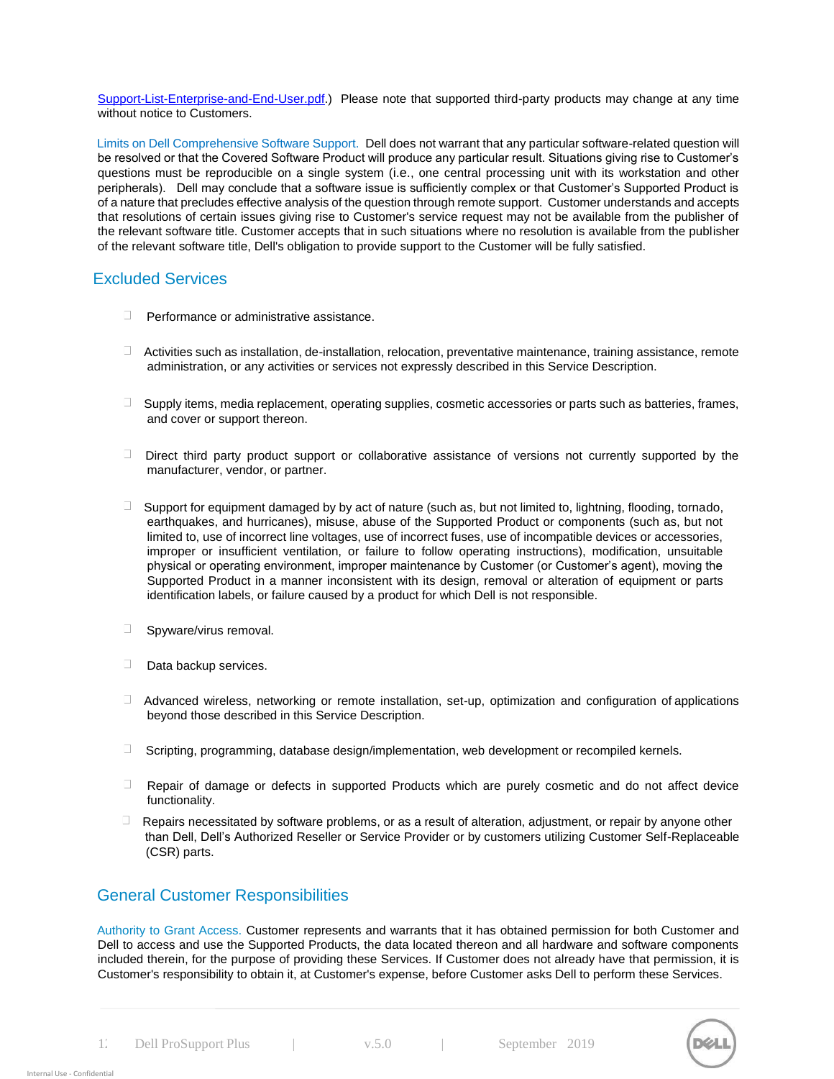[Support-List-Enterprise-and-End-User.pdf.\)](http://i.dell.com/sites/doccontent/shared-content/services/en/Documents/ProSupport-Comprehensive-Software-Support-List-Enterprise-and-End-User.pdf) Please note that supported third-party products may change at any time without notice to Customers.

Limits on Dell Comprehensive Software Support. Dell does not warrant that any particular software-related question will be resolved or that the Covered Software Product will produce any particular result. Situations giving rise to Customer's questions must be reproducible on a single system (i.e., one central processing unit with its workstation and other peripherals). Dell may conclude that a software issue is sufficiently complex or that Customer's Supported Product is of a nature that precludes effective analysis of the question through remote support. Customer understands and accepts that resolutions of certain issues giving rise to Customer's service request may not be available from the publisher of the relevant software title. Customer accepts that in such situations where no resolution is available from the publisher of the relevant software title, Dell's obligation to provide support to the Customer will be fully satisfied.

### Excluded Services

- $\Box$  Performance or administrative assistance.
- $\Box$  Activities such as installation, de-installation, relocation, preventative maintenance, training assistance, remote administration, or any activities or services not expressly described in this Service Description.
- $\Box$  Supply items, media replacement, operating supplies, cosmetic accessories or parts such as batteries, frames, and cover or support thereon.
- $\Box$  Direct third party product support or collaborative assistance of versions not currently supported by the manufacturer, vendor, or partner.
- $\Box$ Support for equipment damaged by by act of nature (such as, but not limited to, lightning, flooding, tornado, earthquakes, and hurricanes), misuse, abuse of the Supported Product or components (such as, but not limited to, use of incorrect line voltages, use of incorrect fuses, use of incompatible devices or accessories, improper or insufficient ventilation, or failure to follow operating instructions), modification, unsuitable physical or operating environment, improper maintenance by Customer (or Customer's agent), moving the Supported Product in a manner inconsistent with its design, removal or alteration of equipment or parts identification labels, or failure caused by a product for which Dell is not responsible.
- $\Box$  Spyware/virus removal.
- $\Box$  Data backup services.
- $\Box$  Advanced wireless, networking or remote installation, set-up, optimization and configuration of applications beyond those described in this Service Description.
- $\Box$  Scripting, programming, database design/implementation, web development or recompiled kernels.
- $\Box$  Repair of damage or defects in supported Products which are purely cosmetic and do not affect device functionality.
- $\Box$ Repairs necessitated by software problems, or as a result of alteration, adjustment, or repair by anyone other than Dell, Dell's Authorized Reseller or Service Provider or by customers utilizing Customer Self-Replaceable (CSR) parts.

# General Customer Responsibilities

Authority to Grant Access. Customer represents and warrants that it has obtained permission for both Customer and Dell to access and use the Supported Products, the data located thereon and all hardware and software components included therein, for the purpose of providing these Services. If Customer does not already have that permission, it is Customer's responsibility to obtain it, at Customer's expense, before Customer asks Dell to perform these Services.

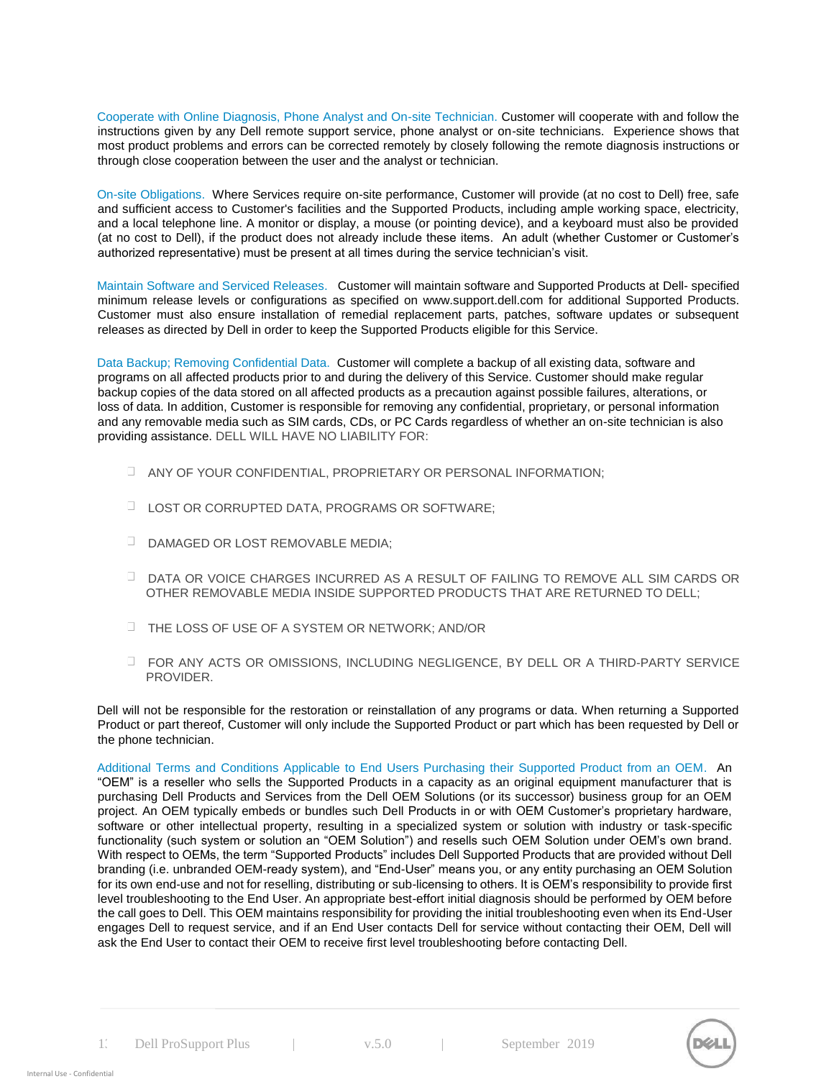Cooperate with Online Diagnosis, Phone Analyst and On-site Technician. Customer will cooperate with and follow the instructions given by any Dell remote support service, phone analyst or on-site technicians. Experience shows that most product problems and errors can be corrected remotely by closely following the remote diagnosis instructions or through close cooperation between the user and the analyst or technician.

On-site Obligations. Where Services require on-site performance, Customer will provide (at no cost to Dell) free, safe and sufficient access to Customer's facilities and the Supported Products, including ample working space, electricity, and a local telephone line. A monitor or display, a mouse (or pointing device), and a keyboard must also be provided (at no cost to Dell), if the product does not already include these items. An adult (whether Customer or Customer's authorized representative) must be present at all times during the service technician's visit.

Maintain Software and Serviced Releases. Customer will maintain software and Supported Products at Dell- specified minimum release levels or configurations as specified on [www.support.dell.com](http://www.support.dell.com/) [fo](http://www.support.dell.com/)r additional Supported Products. Customer must also ensure installation of remedial replacement parts, patches, software updates or subsequent releases as directed by Dell in order to keep the Supported Products eligible for this Service.

Data Backup; Removing Confidential Data. Customer will complete a backup of all existing data, software and programs on all affected products prior to and during the delivery of this Service. Customer should make regular backup copies of the data stored on all affected products as a precaution against possible failures, alterations, or loss of data. In addition, Customer is responsible for removing any confidential, proprietary, or personal information and any removable media such as SIM cards, CDs, or PC Cards regardless of whether an on-site technician is also providing assistance. DELL WILL HAVE NO LIABILITY FOR:

- ANY OF YOUR CONFIDENTIAL, PROPRIETARY OR PERSONAL INFORMATION;
- **LOST OR CORRUPTED DATA, PROGRAMS OR SOFTWARE:**
- D DAMAGED OR LOST REMOVABLE MEDIA;
- DATA OR VOICE CHARGES INCURRED AS A RESULT OF FAILING TO REMOVE ALL SIM CARDS OR OTHER REMOVABLE MEDIA INSIDE SUPPORTED PRODUCTS THAT ARE RETURNED TO DELL;
- THE LOSS OF USE OF A SYSTEM OR NETWORK; AND/OR
- FOR ANY ACTS OR OMISSIONS, INCLUDING NEGLIGENCE, BY DELL OR A THIRD-PARTY SERVICE PROVIDER.

Dell will not be responsible for the restoration or reinstallation of any programs or data. When returning a Supported Product or part thereof, Customer will only include the Supported Product or part which has been requested by Dell or the phone technician.

Additional Terms and Conditions Applicable to End Users Purchasing their Supported Product from an OEM. An "OEM" is a reseller who sells the Supported Products in a capacity as an original equipment manufacturer that is purchasing Dell Products and Services from the Dell OEM Solutions (or its successor) business group for an OEM project. An OEM typically embeds or bundles such Dell Products in or with OEM Customer's proprietary hardware, software or other intellectual property, resulting in a specialized system or solution with industry or task-specific functionality (such system or solution an "OEM Solution") and resells such OEM Solution under OEM's own brand. With respect to OEMs, the term "Supported Products" includes Dell Supported Products that are provided without Dell branding (i.e. unbranded OEM-ready system), and "End-User" means you, or any entity purchasing an OEM Solution for its own end-use and not for reselling, distributing or sub-licensing to others. It is OEM's responsibility to provide first level troubleshooting to the End User. An appropriate best-effort initial diagnosis should be performed by OEM before the call goes to Dell. This OEM maintains responsibility for providing the initial troubleshooting even when its End-User engages Dell to request service, and if an End User contacts Dell for service without contacting their OEM, Dell will ask the End User to contact their OEM to receive first level troubleshooting before contacting Dell.

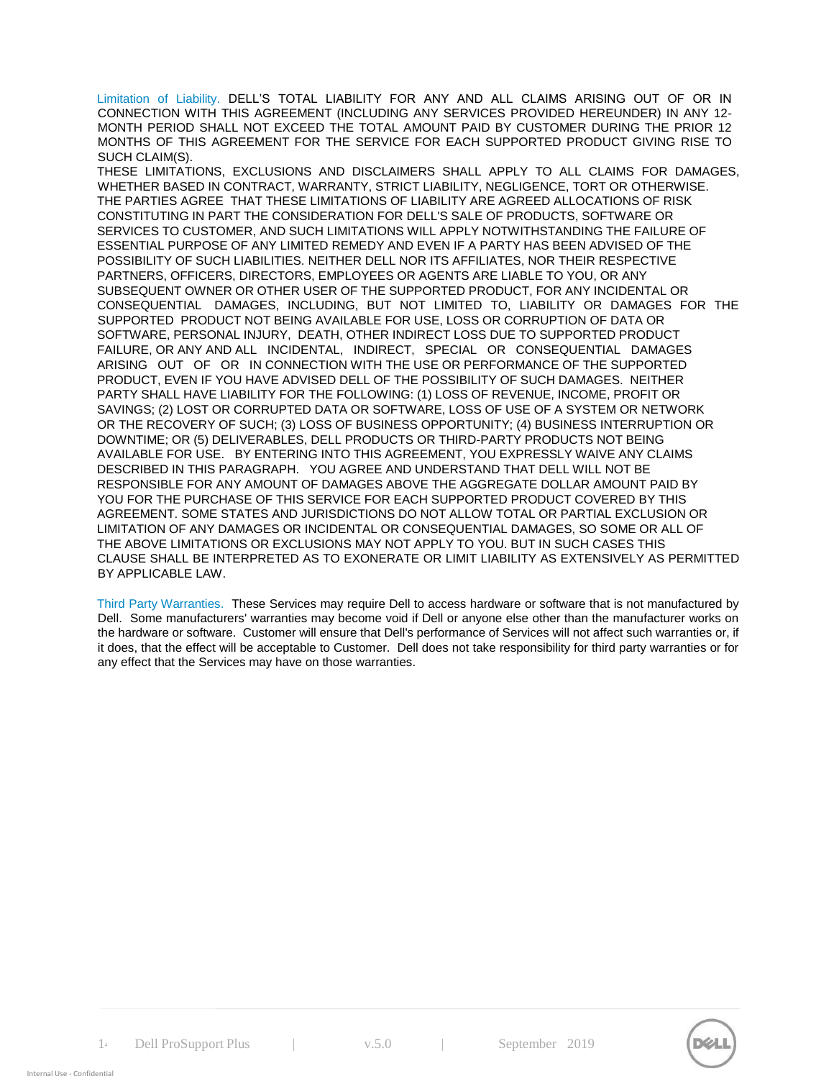Limitation of Liability. DELL'S TOTAL LIABILITY FOR ANY AND ALL CLAIMS ARISING OUT OF OR IN CONNECTION WITH THIS AGREEMENT (INCLUDING ANY SERVICES PROVIDED HEREUNDER) IN ANY 12- MONTH PERIOD SHALL NOT EXCEED THE TOTAL AMOUNT PAID BY CUSTOMER DURING THE PRIOR 12 MONTHS OF THIS AGREEMENT FOR THE SERVICE FOR EACH SUPPORTED PRODUCT GIVING RISE TO SUCH CLAIM(S).

THESE LIMITATIONS, EXCLUSIONS AND DISCLAIMERS SHALL APPLY TO ALL CLAIMS FOR DAMAGES, WHETHER BASED IN CONTRACT, WARRANTY, STRICT LIABILITY, NEGLIGENCE, TORT OR OTHERWISE. THE PARTIES AGREE THAT THESE LIMITATIONS OF LIABILITY ARE AGREED ALLOCATIONS OF RISK CONSTITUTING IN PART THE CONSIDERATION FOR DELL'S SALE OF PRODUCTS, SOFTWARE OR SERVICES TO CUSTOMER, AND SUCH LIMITATIONS WILL APPLY NOTWITHSTANDING THE FAILURE OF ESSENTIAL PURPOSE OF ANY LIMITED REMEDY AND EVEN IF A PARTY HAS BEEN ADVISED OF THE POSSIBILITY OF SUCH LIABILITIES. NEITHER DELL NOR ITS AFFILIATES, NOR THEIR RESPECTIVE PARTNERS, OFFICERS, DIRECTORS, EMPLOYEES OR AGENTS ARE LIABLE TO YOU, OR ANY SUBSEQUENT OWNER OR OTHER USER OF THE SUPPORTED PRODUCT, FOR ANY INCIDENTAL OR CONSEQUENTIAL DAMAGES, INCLUDING, BUT NOT LIMITED TO, LIABILITY OR DAMAGES FOR THE SUPPORTED PRODUCT NOT BEING AVAILABLE FOR USE, LOSS OR CORRUPTION OF DATA OR SOFTWARE, PERSONAL INJURY, DEATH, OTHER INDIRECT LOSS DUE TO SUPPORTED PRODUCT FAILURE, OR ANY AND ALL INCIDENTAL, INDIRECT, SPECIAL OR CONSEQUENTIAL DAMAGES ARISING OUT OF OR IN CONNECTION WITH THE USE OR PERFORMANCE OF THE SUPPORTED PRODUCT, EVEN IF YOU HAVE ADVISED DELL OF THE POSSIBILITY OF SUCH DAMAGES. NEITHER PARTY SHALL HAVE LIABILITY FOR THE FOLLOWING: (1) LOSS OF REVENUE, INCOME, PROFIT OR SAVINGS; (2) LOST OR CORRUPTED DATA OR SOFTWARE, LOSS OF USE OF A SYSTEM OR NETWORK OR THE RECOVERY OF SUCH; (3) LOSS OF BUSINESS OPPORTUNITY; (4) BUSINESS INTERRUPTION OR DOWNTIME; OR (5) DELIVERABLES, DELL PRODUCTS OR THIRD-PARTY PRODUCTS NOT BEING AVAILABLE FOR USE. BY ENTERING INTO THIS AGREEMENT, YOU EXPRESSLY WAIVE ANY CLAIMS DESCRIBED IN THIS PARAGRAPH. YOU AGREE AND UNDERSTAND THAT DELL WILL NOT BE RESPONSIBLE FOR ANY AMOUNT OF DAMAGES ABOVE THE AGGREGATE DOLLAR AMOUNT PAID BY YOU FOR THE PURCHASE OF THIS SERVICE FOR EACH SUPPORTED PRODUCT COVERED BY THIS AGREEMENT. SOME STATES AND JURISDICTIONS DO NOT ALLOW TOTAL OR PARTIAL EXCLUSION OR LIMITATION OF ANY DAMAGES OR INCIDENTAL OR CONSEQUENTIAL DAMAGES, SO SOME OR ALL OF THE ABOVE LIMITATIONS OR EXCLUSIONS MAY NOT APPLY TO YOU. BUT IN SUCH CASES THIS CLAUSE SHALL BE INTERPRETED AS TO EXONERATE OR LIMIT LIABILITY AS EXTENSIVELY AS PERMITTED BY APPLICABLE LAW.

Third Party Warranties. These Services may require Dell to access hardware or software that is not manufactured by Dell. Some manufacturers' warranties may become void if Dell or anyone else other than the manufacturer works on the hardware or software. Customer will ensure that Dell's performance of Services will not affect such warranties or, if it does, that the effect will be acceptable to Customer. Dell does not take responsibility for third party warranties or for any effect that the Services may have on those warranties.

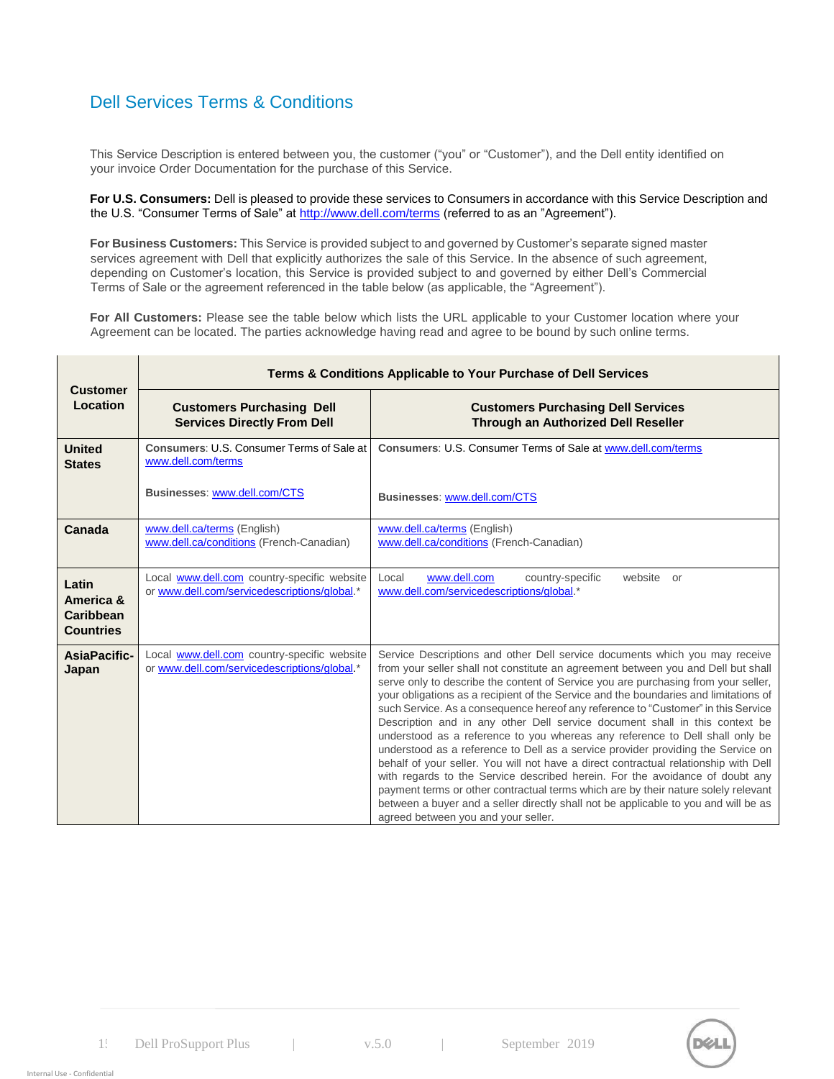# Dell Services Terms & Conditions

This Service Description is entered between you, the customer ("you" or "Customer"), and the Dell entity identified on your invoice Order Documentation for the purchase of this Service.

**For U.S. Consumers:** Dell is pleased to provide these services to Consumers in accordance with this Service Description and the U.S. "Consumer Terms of Sale" at<http://www.dell.com/terms> [\(](http://www.dell.com/terms)referred to as an "Agreement").

**For Business Customers:** This Service is provided subject to and governed by Customer's separate signed master services agreement with Dell that explicitly authorizes the sale of this Service. In the absence of such agreement, depending on Customer's location, this Service is provided subject to and governed by either Dell's Commercial Terms of Sale or the agreement referenced in the table below (as applicable, the "Agreement").

**For All Customers:** Please see the table below which lists the URL applicable to your Customer location where your Agreement can be located. The parties acknowledge having read and agree to be bound by such online terms.

| <b>Customer</b>                                            | Terms & Conditions Applicable to Your Purchase of Dell Services                             |                                                                                                                                                                                                                                                                                                                                                                                                                                                                                                                                                                                                                                                                                                                                                                                                                                                                                                                                                                                                                                                                                    |  |
|------------------------------------------------------------|---------------------------------------------------------------------------------------------|------------------------------------------------------------------------------------------------------------------------------------------------------------------------------------------------------------------------------------------------------------------------------------------------------------------------------------------------------------------------------------------------------------------------------------------------------------------------------------------------------------------------------------------------------------------------------------------------------------------------------------------------------------------------------------------------------------------------------------------------------------------------------------------------------------------------------------------------------------------------------------------------------------------------------------------------------------------------------------------------------------------------------------------------------------------------------------|--|
| Location                                                   | <b>Customers Purchasing Dell</b><br><b>Services Directly From Dell</b>                      | <b>Customers Purchasing Dell Services</b><br><b>Through an Authorized Dell Reseller</b>                                                                                                                                                                                                                                                                                                                                                                                                                                                                                                                                                                                                                                                                                                                                                                                                                                                                                                                                                                                            |  |
| <b>United</b><br><b>States</b>                             | Consumers: U.S. Consumer Terms of Sale at<br>www.dell.com/terms                             | Consumers: U.S. Consumer Terms of Sale at www.dell.com/terms                                                                                                                                                                                                                                                                                                                                                                                                                                                                                                                                                                                                                                                                                                                                                                                                                                                                                                                                                                                                                       |  |
|                                                            | Businesses: www.dell.com/CTS                                                                | Businesses: www.dell.com/CTS                                                                                                                                                                                                                                                                                                                                                                                                                                                                                                                                                                                                                                                                                                                                                                                                                                                                                                                                                                                                                                                       |  |
| Canada                                                     | www.dell.ca/terms (English)<br>www.dell.ca/conditions (French-Canadian)                     | www.dell.ca/terms (English)<br>www.dell.ca/conditions (French-Canadian)                                                                                                                                                                                                                                                                                                                                                                                                                                                                                                                                                                                                                                                                                                                                                                                                                                                                                                                                                                                                            |  |
| Latin<br>America &<br><b>Caribbean</b><br><b>Countries</b> | Local www.dell.com country-specific website<br>or www.dell.com/servicedescriptions/global.* | www.dell.com<br>Local<br>country-specific<br>website or<br>www.dell.com/servicedescriptions/global.*                                                                                                                                                                                                                                                                                                                                                                                                                                                                                                                                                                                                                                                                                                                                                                                                                                                                                                                                                                               |  |
| <b>AsiaPacific-</b><br>Japan                               | Local www.dell.com country-specific website<br>or www.dell.com/servicedescriptions/global.* | Service Descriptions and other Dell service documents which you may receive<br>from your seller shall not constitute an agreement between you and Dell but shall<br>serve only to describe the content of Service you are purchasing from your seller,<br>your obligations as a recipient of the Service and the boundaries and limitations of<br>such Service. As a consequence hereof any reference to "Customer" in this Service<br>Description and in any other Dell service document shall in this context be<br>understood as a reference to you whereas any reference to Dell shall only be<br>understood as a reference to Dell as a service provider providing the Service on<br>behalf of your seller. You will not have a direct contractual relationship with Dell<br>with regards to the Service described herein. For the avoidance of doubt any<br>payment terms or other contractual terms which are by their nature solely relevant<br>between a buyer and a seller directly shall not be applicable to you and will be as<br>agreed between you and your seller. |  |

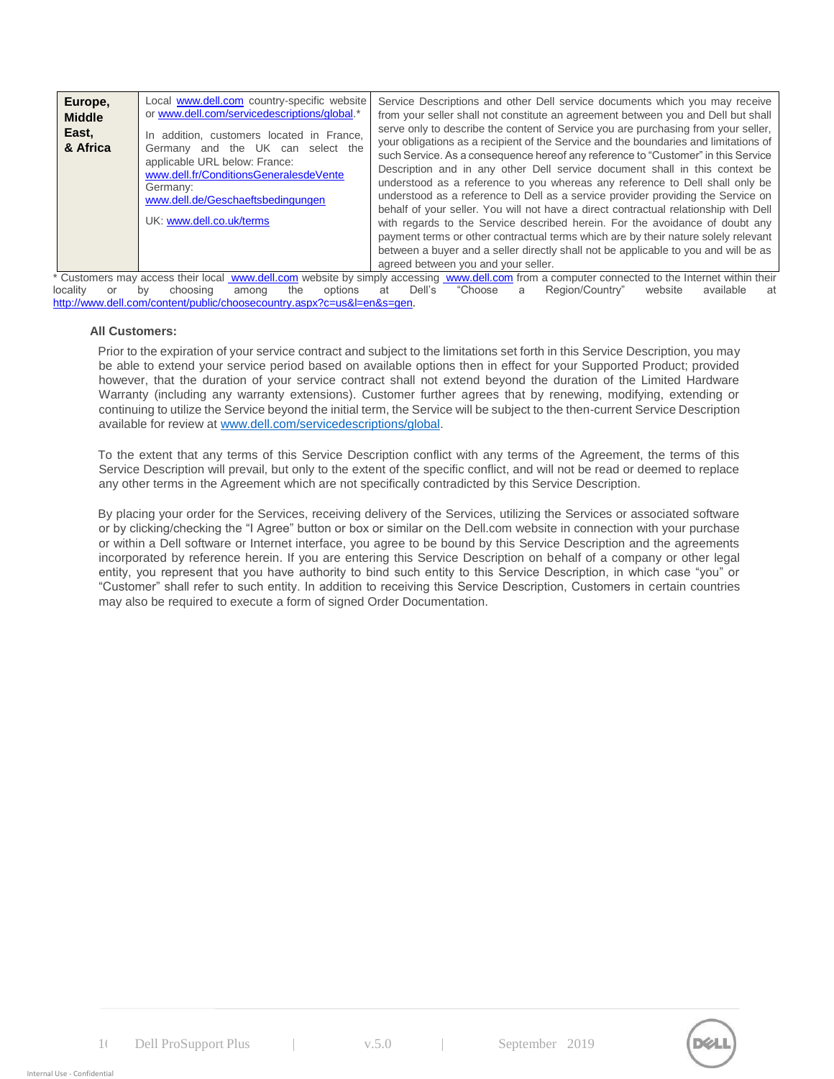| Europe,<br><b>Middle</b><br>East,<br>& Africa | Local www.dell.com country-specific website<br>or www.dell.com/servicedescriptions/global.*<br>In addition, customers located in France,<br>Germany and the UK can select the<br>applicable URL below: France:<br>www.dell.fr/ConditionsGeneralesdeVente<br>Germany:<br>www.dell.de/Geschaeftsbedingungen<br>UK: www.dell.co.uk/terms | Service Descriptions and other Dell service documents which you may receive<br>from your seller shall not constitute an agreement between you and Dell but shall<br>serve only to describe the content of Service you are purchasing from your seller,<br>your obligations as a recipient of the Service and the boundaries and limitations of<br>such Service. As a consequence hereof any reference to "Customer" in this Service<br>Description and in any other Dell service document shall in this context be<br>understood as a reference to you whereas any reference to Dell shall only be<br>understood as a reference to Dell as a service provider providing the Service on<br>behalf of your seller. You will not have a direct contractual relationship with Dell<br>with regards to the Service described herein. For the avoidance of doubt any<br>payment terms or other contractual terms which are by their nature solely relevant<br>between a buyer and a seller directly shall not be applicable to you and will be as<br>agreed between you and your seller. |
|-----------------------------------------------|---------------------------------------------------------------------------------------------------------------------------------------------------------------------------------------------------------------------------------------------------------------------------------------------------------------------------------------|------------------------------------------------------------------------------------------------------------------------------------------------------------------------------------------------------------------------------------------------------------------------------------------------------------------------------------------------------------------------------------------------------------------------------------------------------------------------------------------------------------------------------------------------------------------------------------------------------------------------------------------------------------------------------------------------------------------------------------------------------------------------------------------------------------------------------------------------------------------------------------------------------------------------------------------------------------------------------------------------------------------------------------------------------------------------------------|
|-----------------------------------------------|---------------------------------------------------------------------------------------------------------------------------------------------------------------------------------------------------------------------------------------------------------------------------------------------------------------------------------------|------------------------------------------------------------------------------------------------------------------------------------------------------------------------------------------------------------------------------------------------------------------------------------------------------------------------------------------------------------------------------------------------------------------------------------------------------------------------------------------------------------------------------------------------------------------------------------------------------------------------------------------------------------------------------------------------------------------------------------------------------------------------------------------------------------------------------------------------------------------------------------------------------------------------------------------------------------------------------------------------------------------------------------------------------------------------------------|

\* Customers may access their local [www.dell.com](http://www.dell.com/) [we](http://www.dell.com/)bsite by simply accessing www.dell.com [fr](http://www.dell.com/)om a computer connected to the Internet within their<br>Iocality or by choosing among the options at Dell's "Choose a Region/Country" locality or by choosing among the options at Dell's "Choose a Region/Country" website available at [http://www.dell.com/content/public/choosecountry.aspx?c=us&l=en&s=gen.](http://www.dell.com/content/public/choosecountry.aspx?c=us&l=en&s=gen)

#### **All Customers:**

Prior to the expiration of your service contract and subject to the limitations set forth in this Service Description, you may be able to extend your service period based on available options then in effect for your Supported Product; provided however, that the duration of your service contract shall not extend beyond the duration of the Limited Hardware Warranty (including any warranty extensions). Customer further agrees that by renewing, modifying, extending or continuing to utilize the Service beyond the initial term, the Service will be subject to the then-current Service Description available for review at [www.dell.com/servicedescriptions/global.](http://www.dell.com/servicedescriptions/global)

To the extent that any terms of this Service Description conflict with any terms of the Agreement, the terms of this Service Description will prevail, but only to the extent of the specific conflict, and will not be read or deemed to replace any other terms in the Agreement which are not specifically contradicted by this Service Description.

By placing your order for the Services, receiving delivery of the Services, utilizing the Services or associated software or by clicking/checking the "I Agree" button or box or similar on the Dell.com website in connection with your purchase or within a Dell software or Internet interface, you agree to be bound by this Service Description and the agreements incorporated by reference herein. If you are entering this Service Description on behalf of a company or other legal entity, you represent that you have authority to bind such entity to this Service Description, in which case "you" or "Customer" shall refer to such entity. In addition to receiving this Service Description, Customers in certain countries may also be required to execute a form of signed Order Documentation.

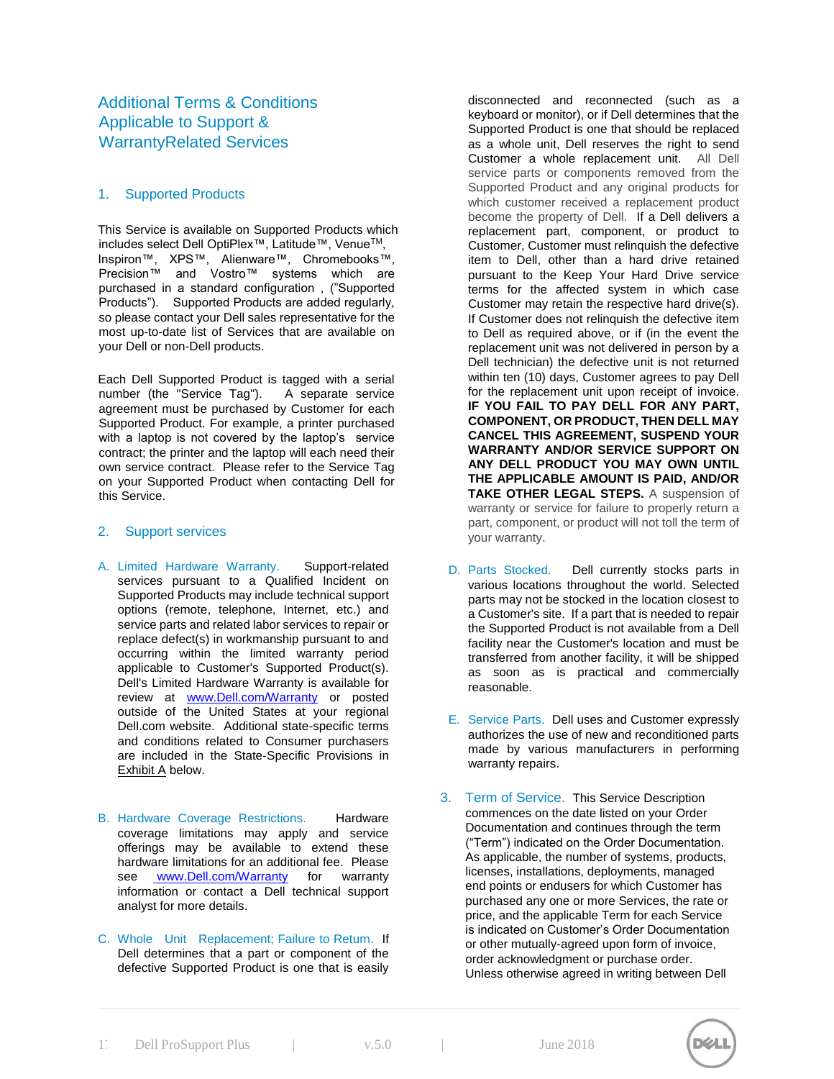### 1. Supported Products

This Service is available on Supported Products which includes select Dell OptiPlex™, Latitude™, VenueTM, Inspiron™, XPS™, Alienware™, Chromebooks™, Precision™ and Vostro™ systems which are purchased in a standard configuration , ("Supported Products"). Supported Products are added regularly, so please contact your Dell sales representative for the most up-to-date list of Services that are available on your Dell or non-Dell products.

Each Dell Supported Product is tagged with a serial number (the "Service Tag"). A separate service agreement must be purchased by Customer for each Supported Product. For example, a printer purchased with a laptop is not covered by the laptop's service contract; the printer and the laptop will each need their own service contract. Please refer to the Service Tag on your Supported Product when contacting Dell for this Service.

#### 2. Support services

- A. Limited Hardware Warranty. Support-related services pursuant to a Qualified Incident on Supported Products may include technical support options (remote, telephone, Internet, etc.) and service parts and related labor services to repair or replace defect(s) in workmanship pursuant to and occurring within the limited warranty period applicable to Customer's Supported Product(s). Dell's Limited Hardware Warranty is available for review at [www.Dell.com/Warranty](http://www.dell.com/Warranty) [or](http://www.dell.com/Warranty) posted outside of the United States at your regional Dell.com website. Additional state-specific terms and conditions related to Consumer purchasers are included in the State-Specific Provisions in Exhibit A below.
- B. Hardware Coverage Restrictions. Hardware coverage limitations may apply and service offerings may be available to extend these hardware limitations for an additional fee. Please see [www.Dell.com/Warranty fo](http://www.dell.com/Warranty)r warranty information or contact a Dell technical support analyst for more details.
- C. Whole Unit Replacement; Failure to Return. If Dell determines that a part or component of the defective Supported Product is one that is easily

disconnected and reconnected (such as a keyboard or monitor), or if Dell determines that the Supported Product is one that should be replaced as a whole unit, Dell reserves the right to send Customer a whole replacement unit. All Dell service parts or components removed from the Supported Product and any original products for which customer received a replacement product become the property of Dell. If a Dell delivers a replacement part, component, or product to Customer, Customer must relinquish the defective item to Dell, other than a hard drive retained pursuant to the Keep Your Hard Drive service terms for the affected system in which case Customer may retain the respective hard drive(s). If Customer does not relinquish the defective item to Dell as required above, or if (in the event the replacement unit was not delivered in person by a Dell technician) the defective unit is not returned within ten (10) days, Customer agrees to pay Dell for the replacement unit upon receipt of invoice. **IF YOU FAIL TO PAY DELL FOR ANY PART, COMPONENT, OR PRODUCT, THEN DELL MAY CANCEL THIS AGREEMENT, SUSPEND YOUR WARRANTY AND/OR SERVICE SUPPORT ON ANY DELL PRODUCT YOU MAY OWN UNTIL THE APPLICABLE AMOUNT IS PAID, AND/OR TAKE OTHER LEGAL STEPS.** A suspension of warranty or service for failure to properly return a part, component, or product will not toll the term of your warranty.

- D. Parts Stocked. Dell currently stocks parts in various locations throughout the world. Selected parts may not be stocked in the location closest to a Customer's site. If a part that is needed to repair the Supported Product is not available from a Dell facility near the Customer's location and must be transferred from another facility, it will be shipped as soon as is practical and commercially reasonable.
- E. Service Parts. Dell uses and Customer expressly authorizes the use of new and reconditioned parts made by various manufacturers in performing warranty repairs.
- 3. Term of Service. This Service Description commences on the date listed on your Order Documentation and continues through the term ("Term") indicated on the Order Documentation. As applicable, the number of systems, products, licenses, installations, deployments, managed end points or endusers for which Customer has purchased any one or more Services, the rate or price, and the applicable Term for each Service is indicated on Customer's Order Documentation or other mutually-agreed upon form of invoice, order acknowledgment or purchase order. Unless otherwise agreed in writing between Dell

 $\mathcal{U}$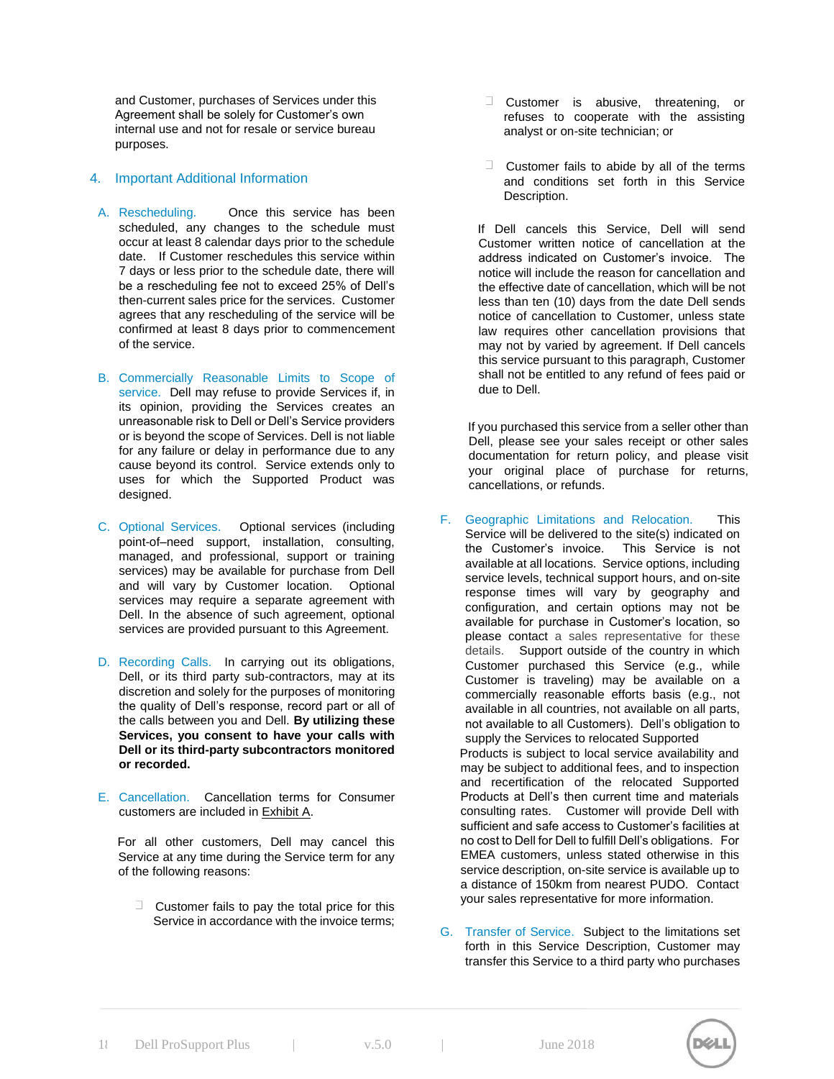and Customer, purchases of Services under this Agreement shall be solely for Customer's own internal use and not for resale or service bureau purposes.

#### 4. Important Additional Information

- A. Rescheduling. Once this service has been scheduled, any changes to the schedule must occur at least 8 calendar days prior to the schedule date. If Customer reschedules this service within 7 days or less prior to the schedule date, there will be a rescheduling fee not to exceed 25% of Dell's then-current sales price for the services. Customer agrees that any rescheduling of the service will be confirmed at least 8 days prior to commencement of the service.
- B. Commercially Reasonable Limits to Scope of service. Dell may refuse to provide Services if, in its opinion, providing the Services creates an unreasonable risk to Dell or Dell's Service providers or is beyond the scope of Services. Dell is not liable for any failure or delay in performance due to any cause beyond its control. Service extends only to uses for which the Supported Product was designed.
- C. Optional Services. Optional services (including point-of–need support, installation, consulting, managed, and professional, support or training services) may be available for purchase from Dell and will vary by Customer location. Optional services may require a separate agreement with Dell. In the absence of such agreement, optional services are provided pursuant to this Agreement.
- D. Recording Calls. In carrying out its obligations, Dell, or its third party sub-contractors, may at its discretion and solely for the purposes of monitoring the quality of Dell's response, record part or all of the calls between you and Dell. **By utilizing these Services, you consent to have your calls with Dell or its third-party subcontractors monitored or recorded.**
- E. Cancellation. Cancellation terms for Consumer customers are included in Exhibit A.

For all other customers, Dell may cancel this Service at any time during the Service term for any of the following reasons:

 $\Box$  Customer fails to pay the total price for this Service in accordance with the invoice terms;

- **Customer** is abusive, threatening, or refuses to cooperate with the assisting analyst or on-site technician; or
- $\Box$  Customer fails to abide by all of the terms and conditions set forth in this Service Description.

If Dell cancels this Service, Dell will send Customer written notice of cancellation at the address indicated on Customer's invoice. The notice will include the reason for cancellation and the effective date of cancellation, which will be not less than ten (10) days from the date Dell sends notice of cancellation to Customer, unless state law requires other cancellation provisions that may not by varied by agreement. If Dell cancels this service pursuant to this paragraph, Customer shall not be entitled to any refund of fees paid or due to Dell.

If you purchased this service from a seller other than Dell, please see your sales receipt or other sales documentation for return policy, and please visit your original place of purchase for returns, cancellations, or refunds.

F. Geographic Limitations and Relocation. This Service will be delivered to the site(s) indicated on the Customer's invoice. This Service is not the Customer's invoice. available at all locations. Service options, including service levels, technical support hours, and on-site response times will vary by geography and configuration, and certain options may not be available for purchase in Customer's location, so please contact a sales representative for these details. Support outside of the country in which Customer purchased this Service (e.g., while Customer is traveling) may be available on a commercially reasonable efforts basis (e.g., not available in all countries, not available on all parts, not available to all Customers). Dell's obligation to supply the Services to relocated Supported Products is subject to local service availability and

may be subject to additional fees, and to inspection and recertification of the relocated Supported Products at Dell's then current time and materials consulting rates. Customer will provide Dell with sufficient and safe access to Customer's facilities at no cost to Dell for Dell to fulfill Dell's obligations. For EMEA customers, unless stated otherwise in this service description, on-site service is available up to a distance of 150km from nearest PUDO. Contact your sales representative for more information.

G. Transfer of Service. Subject to the limitations set forth in this Service Description, Customer may transfer this Service to a third party who purchases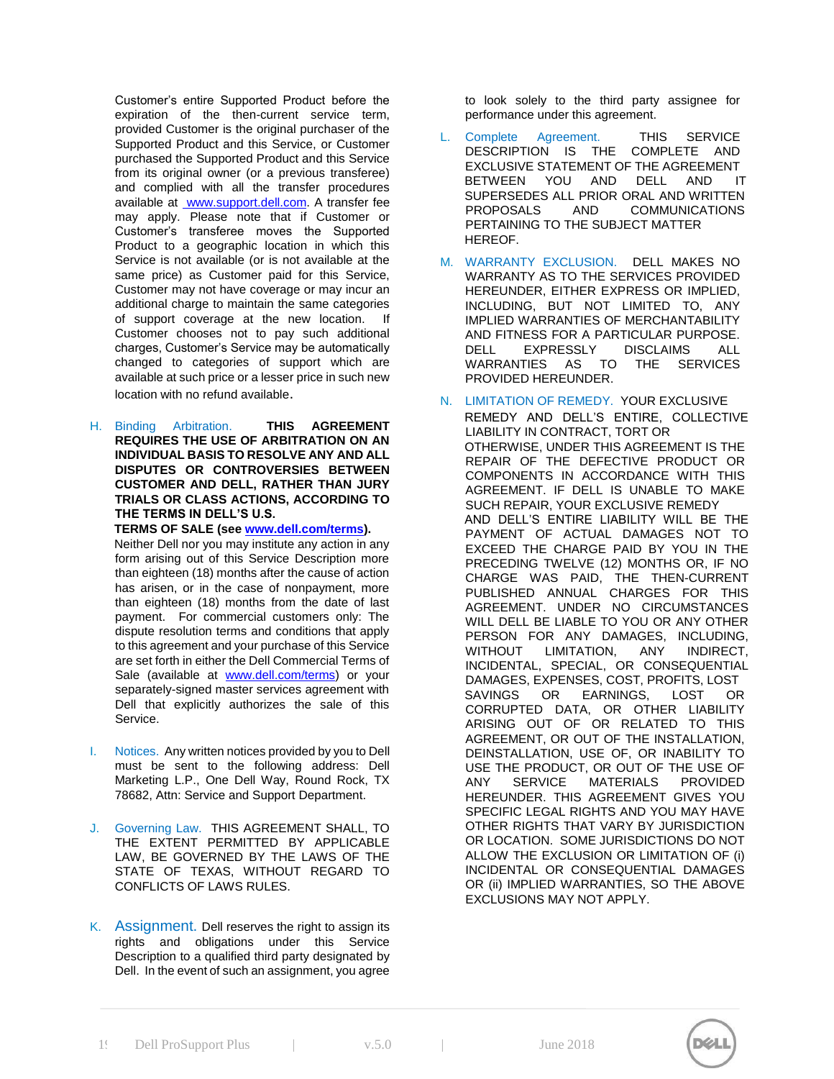Customer's entire Supported Product before the expiration of the then-current service term, provided Customer is the original purchaser of the Supported Product and this Service, or Customer purchased the Supported Product and this Service from its original owner (or a previous transferee) and complied with all the transfer procedures available [at](http://www.support.dell.com/) [www.support.dell.com.](http://www.support.dell.com/) [A](http://www.support.dell.com/) transfer fee may apply. Please note that if Customer or Customer's transferee moves the Supported Product to a geographic location in which this Service is not available (or is not available at the same price) as Customer paid for this Service, Customer may not have coverage or may incur an additional charge to maintain the same categories of support coverage at the new location. If Customer chooses not to pay such additional charges, Customer's Service may be automatically changed to categories of support which are available at such price or a lesser price in such new location with no refund available.

H. Binding Arbitration. **THIS AGREEMENT REQUIRES THE USE OF ARBITRATION ON AN INDIVIDUAL BASIS TO RESOLVE ANY AND ALL DISPUTES OR CONTROVERSIES BETWEEN CUSTOMER AND DELL, RATHER THAN JURY TRIALS OR CLASS ACTIONS, ACCORDING TO THE TERMS IN DELL'S U.S.** 

**TERMS OF SALE (see [www.dell.com/terms\).](http://www.dell.com/terms)** 

Neither Dell nor you may institute any action in any form arising out of this Service Description more than eighteen (18) months after the cause of action has arisen, or in the case of nonpayment, more than eighteen (18) months from the date of last payment. For commercial customers only: The dispute resolution terms and conditions that apply to this agreement and your purchase of this Service are set forth in either the Dell Commercial Terms of Sale (available at **[www.dell.com/terms\)](http://www.dell.com/terms)** or your separately-signed master services agreement with Dell that explicitly authorizes the sale of this Service.

- I. Notices. Any written notices provided by you to Dell must be sent to the following address: Dell Marketing L.P., One Dell Way, Round Rock, TX 78682, Attn: Service and Support Department.
- J. Governing Law. THIS AGREEMENT SHALL, TO THE EXTENT PERMITTED BY APPLICABLE LAW, BE GOVERNED BY THE LAWS OF THE STATE OF TEXAS, WITHOUT REGARD TO CONFLICTS OF LAWS RULES.
- K. Assignment. Dell reserves the right to assign its rights and obligations under this Service Description to a qualified third party designated by Dell. In the event of such an assignment, you agree

to look solely to the third party assignee for performance under this agreement.

- Complete Agreement. THIS SERVICE DESCRIPTION IS THE COMPLETE AND EXCLUSIVE STATEMENT OF THE AGREEMENT BETWEEN YOU AND DELL AND IT SUPERSEDES ALL PRIOR ORAL AND WRITTEN PROPOSALS AND COMMUNICATIONS PERTAINING TO THE SUBJECT MATTER HEREOF.
- M. WARRANTY EXCLUSION. DELL MAKES NO WARRANTY AS TO THE SERVICES PROVIDED HEREUNDER, EITHER EXPRESS OR IMPLIED, INCLUDING, BUT NOT LIMITED TO, ANY IMPLIED WARRANTIES OF MERCHANTABILITY AND FITNESS FOR A PARTICULAR PURPOSE. DELL EXPRESSLY DISCLAIMS ALL WARRANTIES AS TO THE SERVICES PROVIDED HEREUNDER.
- N. LIMITATION OF REMEDY. YOUR EXCLUSIVE REMEDY AND DELL'S ENTIRE, COLLECTIVE LIABILITY IN CONTRACT, TORT OR OTHERWISE, UNDER THIS AGREEMENT IS THE REPAIR OF THE DEFECTIVE PRODUCT OR COMPONENTS IN ACCORDANCE WITH THIS AGREEMENT. IF DELL IS UNABLE TO MAKE SUCH REPAIR, YOUR EXCLUSIVE REMEDY AND DELL'S ENTIRE LIABILITY WILL BE THE PAYMENT OF ACTUAL DAMAGES NOT TO EXCEED THE CHARGE PAID BY YOU IN THE PRECEDING TWELVE (12) MONTHS OR, IF NO CHARGE WAS PAID, THE THEN-CURRENT PUBLISHED ANNUAL CHARGES FOR THIS AGREEMENT. UNDER NO CIRCUMSTANCES WILL DELL BE LIABLE TO YOU OR ANY OTHER PERSON FOR ANY DAMAGES, INCLUDING, WITHOUT LIMITATION, ANY INDIRECT, INCIDENTAL, SPECIAL, OR CONSEQUENTIAL DAMAGES, EXPENSES, COST, PROFITS, LOST SAVINGS OR EARNINGS, LOST OR CORRUPTED DATA, OR OTHER LIABILITY ARISING OUT OF OR RELATED TO THIS AGREEMENT, OR OUT OF THE INSTALLATION, DEINSTALLATION, USE OF, OR INABILITY TO USE THE PRODUCT, OR OUT OF THE USE OF ANY SERVICE MATERIALS PROVIDED HEREUNDER. THIS AGREEMENT GIVES YOU SPECIFIC LEGAL RIGHTS AND YOU MAY HAVE OTHER RIGHTS THAT VARY BY JURISDICTION OR LOCATION. SOME JURISDICTIONS DO NOT ALLOW THE EXCLUSION OR LIMITATION OF (i) INCIDENTAL OR CONSEQUENTIAL DAMAGES OR (ii) IMPLIED WARRANTIES, SO THE ABOVE EXCLUSIONS MAY NOT APPLY.

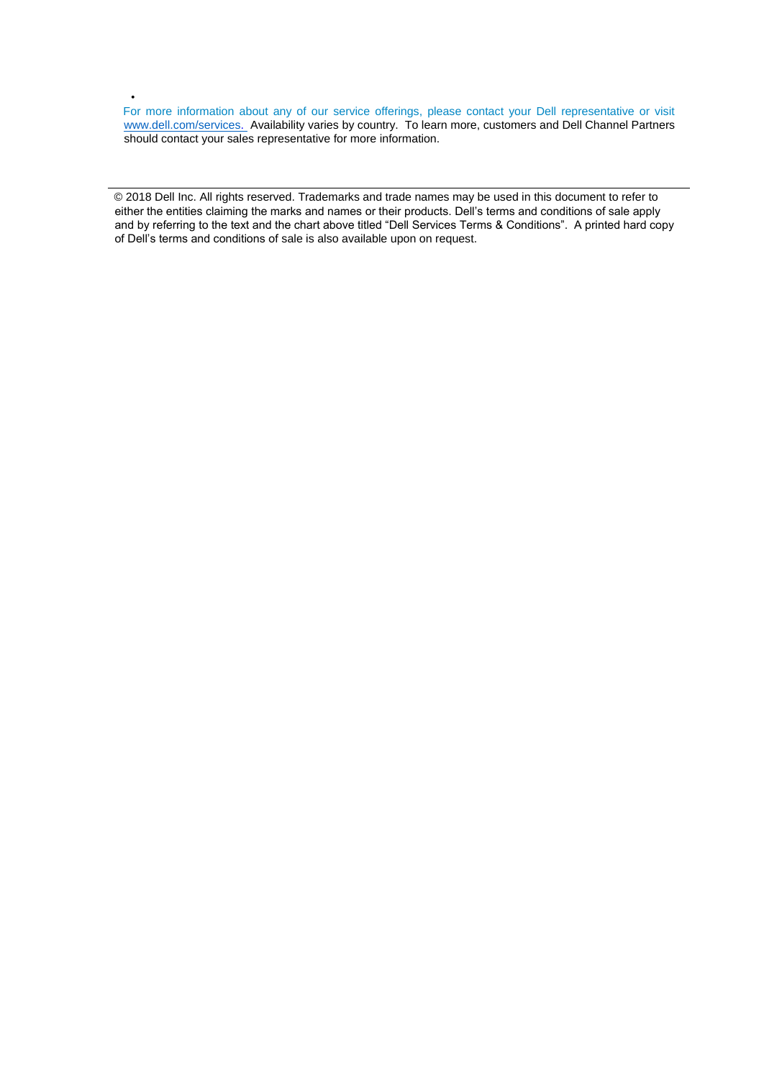For more information about any of our service offerings, please contact your Dell representative or visit [www.dell.com/services. Av](http://www.dell.com/services)ailability varies by country. To learn more, customers and Dell Channel Partners should contact your sales representative for more information.

•

© 2018 Dell Inc. All rights reserved. Trademarks and trade names may be used in this document to refer to either the entities claiming the marks and names or their products. Dell's terms and conditions of sale apply and by referring to the text and the chart above titled "Dell Services Terms & Conditions". A printed hard copy of Dell's terms and conditions of sale is also available upon on request.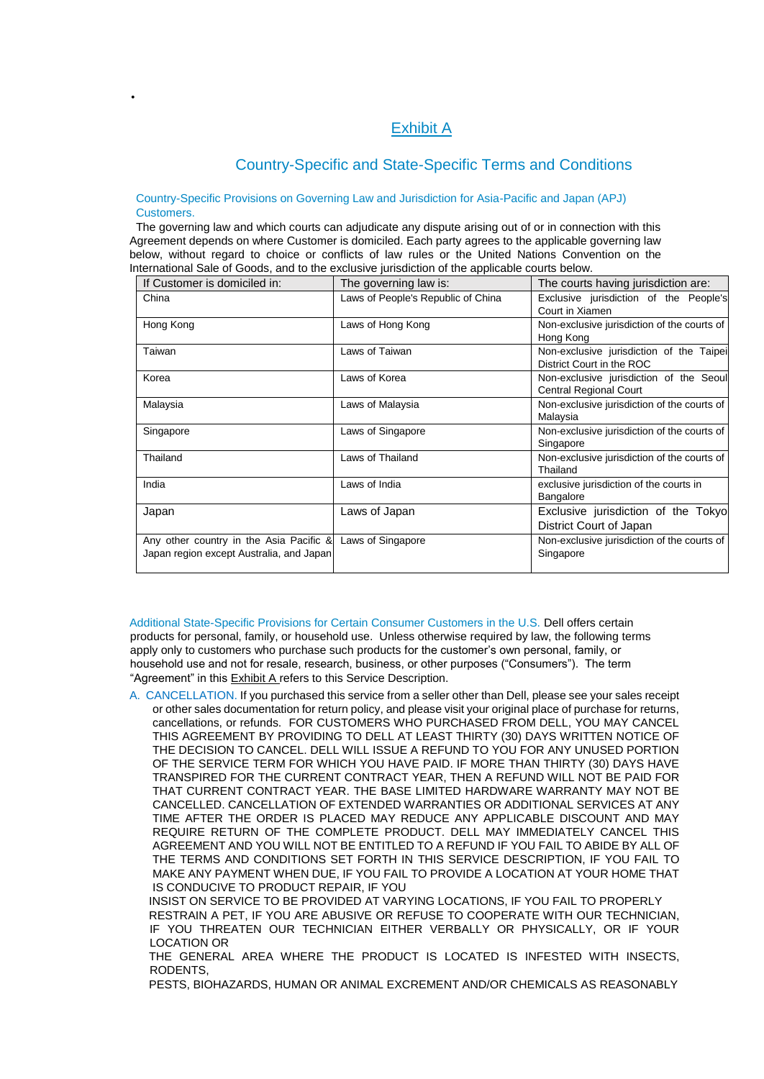# Exhibit A

# Country-Specific and State-Specific Terms and Conditions

#### Country-Specific Provisions on Governing Law and Jurisdiction for Asia-Pacific and Japan (APJ) Customers.

•

The governing law and which courts can adjudicate any dispute arising out of or in connection with this Agreement depends on where Customer is domiciled. Each party agrees to the applicable governing law below, without regard to choice or conflicts of law rules or the United Nations Convention on the International Sale of Goods, and to the exclusive jurisdiction of the applicable courts below.

| If Customer is domiciled in:                                                        | The governing law is:              | The courts having jurisdiction are:                                   |
|-------------------------------------------------------------------------------------|------------------------------------|-----------------------------------------------------------------------|
| China                                                                               | Laws of People's Republic of China | Exclusive jurisdiction of the People's<br>Court in Xiamen             |
| Hong Kong                                                                           | Laws of Hong Kong                  | Non-exclusive jurisdiction of the courts of<br>Hong Kong              |
| Taiwan                                                                              | Laws of Taiwan                     | Non-exclusive jurisdiction of the Taipei<br>District Court in the ROC |
| Korea                                                                               | Laws of Korea                      | Non-exclusive jurisdiction of the Seoul<br>Central Regional Court     |
| Malaysia                                                                            | Laws of Malaysia                   | Non-exclusive jurisdiction of the courts of<br>Malaysia               |
| Singapore                                                                           | Laws of Singapore                  | Non-exclusive jurisdiction of the courts of<br>Singapore              |
| Thailand                                                                            | Laws of Thailand                   | Non-exclusive jurisdiction of the courts of<br>Thailand               |
| India                                                                               | Laws of India                      | exclusive jurisdiction of the courts in<br>Bangalore                  |
| Japan                                                                               | Laws of Japan                      | Exclusive jurisdiction of the Tokyo<br>District Court of Japan        |
| Any other country in the Asia Pacific &<br>Japan region except Australia, and Japan | Laws of Singapore                  | Non-exclusive jurisdiction of the courts of<br>Singapore              |

Additional State-Specific Provisions for Certain Consumer Customers in the U.S. Dell offers certain products for personal, family, or household use. Unless otherwise required by law, the following terms apply only to customers who purchase such products for the customer's own personal, family, or household use and not for resale, research, business, or other purposes ("Consumers"). The term "Agreement" in this **Exhibit A** refers to this Service Description.

A. CANCELLATION. If you purchased this service from a seller other than Dell, please see your sales receipt or other sales documentation for return policy, and please visit your original place of purchase for returns, cancellations, or refunds. FOR CUSTOMERS WHO PURCHASED FROM DELL, YOU MAY CANCEL THIS AGREEMENT BY PROVIDING TO DELL AT LEAST THIRTY (30) DAYS WRITTEN NOTICE OF THE DECISION TO CANCEL. DELL WILL ISSUE A REFUND TO YOU FOR ANY UNUSED PORTION OF THE SERVICE TERM FOR WHICH YOU HAVE PAID. IF MORE THAN THIRTY (30) DAYS HAVE TRANSPIRED FOR THE CURRENT CONTRACT YEAR, THEN A REFUND WILL NOT BE PAID FOR THAT CURRENT CONTRACT YEAR. THE BASE LIMITED HARDWARE WARRANTY MAY NOT BE CANCELLED. CANCELLATION OF EXTENDED WARRANTIES OR ADDITIONAL SERVICES AT ANY TIME AFTER THE ORDER IS PLACED MAY REDUCE ANY APPLICABLE DISCOUNT AND MAY REQUIRE RETURN OF THE COMPLETE PRODUCT. DELL MAY IMMEDIATELY CANCEL THIS AGREEMENT AND YOU WILL NOT BE ENTITLED TO A REFUND IF YOU FAIL TO ABIDE BY ALL OF THE TERMS AND CONDITIONS SET FORTH IN THIS SERVICE DESCRIPTION, IF YOU FAIL TO MAKE ANY PAYMENT WHEN DUE, IF YOU FAIL TO PROVIDE A LOCATION AT YOUR HOME THAT IS CONDUCIVE TO PRODUCT REPAIR, IF YOU

INSIST ON SERVICE TO BE PROVIDED AT VARYING LOCATIONS, IF YOU FAIL TO PROPERLY RESTRAIN A PET, IF YOU ARE ABUSIVE OR REFUSE TO COOPERATE WITH OUR TECHNICIAN, IF YOU THREATEN OUR TECHNICIAN EITHER VERBALLY OR PHYSICALLY, OR IF YOUR LOCATION OR

THE GENERAL AREA WHERE THE PRODUCT IS LOCATED IS INFESTED WITH INSECTS, RODENTS,

PESTS, BIOHAZARDS, HUMAN OR ANIMAL EXCREMENT AND/OR CHEMICALS AS REASONABLY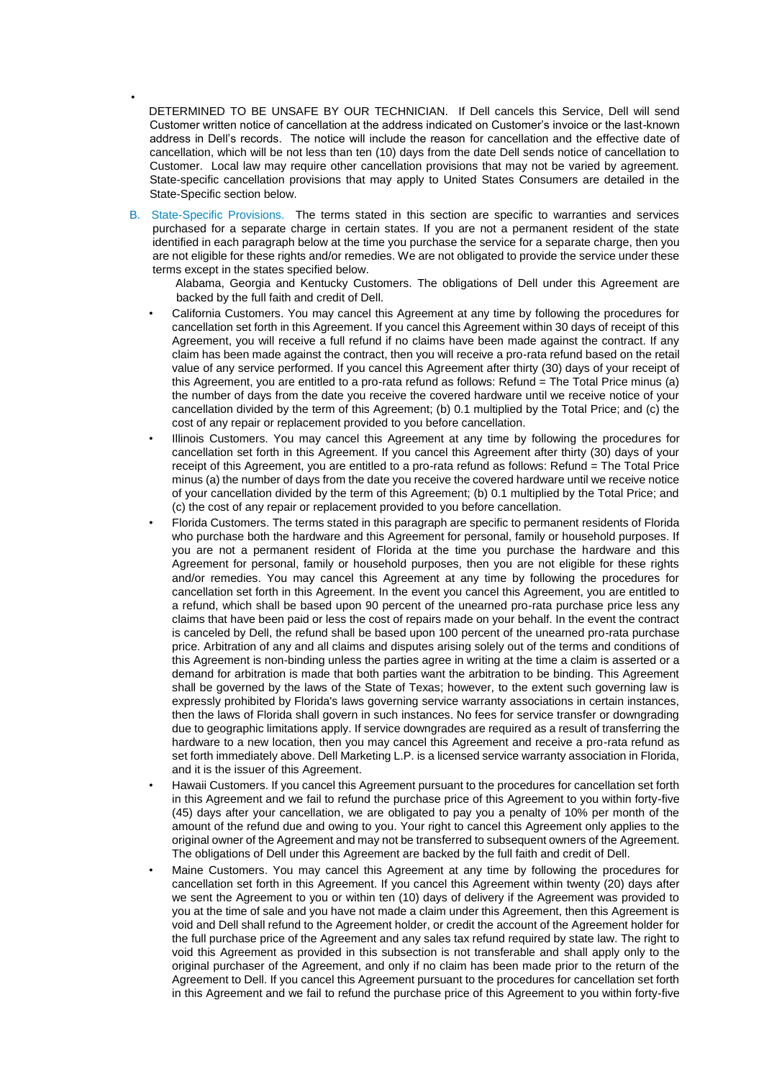DETERMINED TO BE UNSAFE BY OUR TECHNICIAN. If Dell cancels this Service, Dell will send Customer written notice of cancellation at the address indicated on Customer's invoice or the last-known address in Dell's records. The notice will include the reason for cancellation and the effective date of cancellation, which will be not less than ten (10) days from the date Dell sends notice of cancellation to Customer. Local law may require other cancellation provisions that may not be varied by agreement. State-specific cancellation provisions that may apply to United States Consumers are detailed in the State-Specific section below.

•

B. State-Specific Provisions. The terms stated in this section are specific to warranties and services purchased for a separate charge in certain states. If you are not a permanent resident of the state identified in each paragraph below at the time you purchase the service for a separate charge, then you are not eligible for these rights and/or remedies. We are not obligated to provide the service under these terms except in the states specified below.

Alabama, Georgia and Kentucky Customers. The obligations of Dell under this Agreement are backed by the full faith and credit of Dell.

- California Customers. You may cancel this Agreement at any time by following the procedures for cancellation set forth in this Agreement. If you cancel this Agreement within 30 days of receipt of this Agreement, you will receive a full refund if no claims have been made against the contract. If any claim has been made against the contract, then you will receive a pro-rata refund based on the retail value of any service performed. If you cancel this Agreement after thirty (30) days of your receipt of this Agreement, you are entitled to a pro-rata refund as follows: Refund = The Total Price minus (a) the number of days from the date you receive the covered hardware until we receive notice of your cancellation divided by the term of this Agreement; (b) 0.1 multiplied by the Total Price; and (c) the cost of any repair or replacement provided to you before cancellation.
- Illinois Customers. You may cancel this Agreement at any time by following the procedures for cancellation set forth in this Agreement. If you cancel this Agreement after thirty (30) days of your receipt of this Agreement, you are entitled to a pro-rata refund as follows: Refund = The Total Price minus (a) the number of days from the date you receive the covered hardware until we receive notice of your cancellation divided by the term of this Agreement; (b) 0.1 multiplied by the Total Price; and (c) the cost of any repair or replacement provided to you before cancellation.
- Florida Customers. The terms stated in this paragraph are specific to permanent residents of Florida who purchase both the hardware and this Agreement for personal, family or household purposes. If you are not a permanent resident of Florida at the time you purchase the hardware and this Agreement for personal, family or household purposes, then you are not eligible for these rights and/or remedies. You may cancel this Agreement at any time by following the procedures for cancellation set forth in this Agreement. In the event you cancel this Agreement, you are entitled to a refund, which shall be based upon 90 percent of the unearned pro-rata purchase price less any claims that have been paid or less the cost of repairs made on your behalf. In the event the contract is canceled by Dell, the refund shall be based upon 100 percent of the unearned pro-rata purchase price. Arbitration of any and all claims and disputes arising solely out of the terms and conditions of this Agreement is non-binding unless the parties agree in writing at the time a claim is asserted or a demand for arbitration is made that both parties want the arbitration to be binding. This Agreement shall be governed by the laws of the State of Texas; however, to the extent such governing law is expressly prohibited by Florida's laws governing service warranty associations in certain instances, then the laws of Florida shall govern in such instances. No fees for service transfer or downgrading due to geographic limitations apply. If service downgrades are required as a result of transferring the hardware to a new location, then you may cancel this Agreement and receive a pro-rata refund as set forth immediately above. Dell Marketing L.P. is a licensed service warranty association in Florida, and it is the issuer of this Agreement.
- Hawaii Customers. If you cancel this Agreement pursuant to the procedures for cancellation set forth in this Agreement and we fail to refund the purchase price of this Agreement to you within forty-five (45) days after your cancellation, we are obligated to pay you a penalty of 10% per month of the amount of the refund due and owing to you. Your right to cancel this Agreement only applies to the original owner of the Agreement and may not be transferred to subsequent owners of the Agreement. The obligations of Dell under this Agreement are backed by the full faith and credit of Dell.
- Maine Customers. You may cancel this Agreement at any time by following the procedures for cancellation set forth in this Agreement. If you cancel this Agreement within twenty (20) days after we sent the Agreement to you or within ten (10) days of delivery if the Agreement was provided to you at the time of sale and you have not made a claim under this Agreement, then this Agreement is void and Dell shall refund to the Agreement holder, or credit the account of the Agreement holder for the full purchase price of the Agreement and any sales tax refund required by state law. The right to void this Agreement as provided in this subsection is not transferable and shall apply only to the original purchaser of the Agreement, and only if no claim has been made prior to the return of the Agreement to Dell. If you cancel this Agreement pursuant to the procedures for cancellation set forth in this Agreement and we fail to refund the purchase price of this Agreement to you within forty-five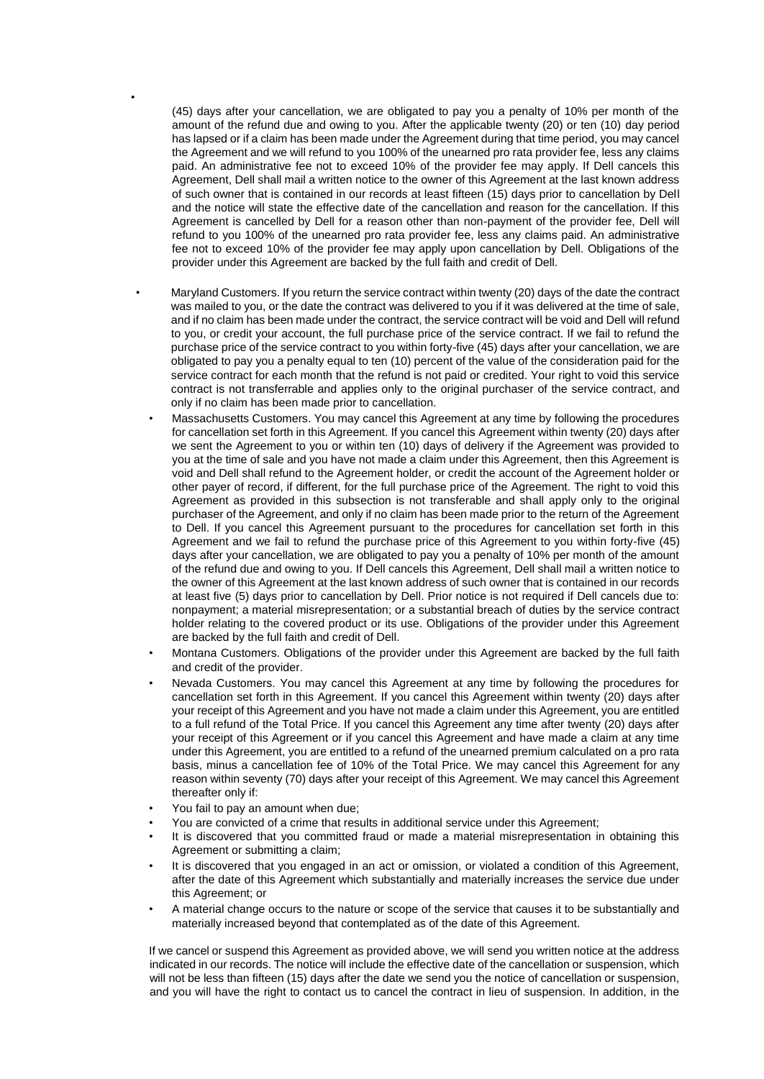(45) days after your cancellation, we are obligated to pay you a penalty of 10% per month of the amount of the refund due and owing to you. After the applicable twenty (20) or ten (10) day period has lapsed or if a claim has been made under the Agreement during that time period, you may cancel the Agreement and we will refund to you 100% of the unearned pro rata provider fee, less any claims paid. An administrative fee not to exceed 10% of the provider fee may apply. If Dell cancels this Agreement, Dell shall mail a written notice to the owner of this Agreement at the last known address of such owner that is contained in our records at least fifteen (15) days prior to cancellation by Dell and the notice will state the effective date of the cancellation and reason for the cancellation. If this Agreement is cancelled by Dell for a reason other than non-payment of the provider fee, Dell will refund to you 100% of the unearned pro rata provider fee, less any claims paid. An administrative fee not to exceed 10% of the provider fee may apply upon cancellation by Dell. Obligations of the provider under this Agreement are backed by the full faith and credit of Dell.

- Maryland Customers. If you return the service contract within twenty (20) days of the date the contract was mailed to you, or the date the contract was delivered to you if it was delivered at the time of sale, and if no claim has been made under the contract, the service contract will be void and Dell will refund to you, or credit your account, the full purchase price of the service contract. If we fail to refund the purchase price of the service contract to you within forty-five (45) days after your cancellation, we are obligated to pay you a penalty equal to ten (10) percent of the value of the consideration paid for the service contract for each month that the refund is not paid or credited. Your right to void this service contract is not transferrable and applies only to the original purchaser of the service contract, and only if no claim has been made prior to cancellation.
	- Massachusetts Customers. You may cancel this Agreement at any time by following the procedures for cancellation set forth in this Agreement. If you cancel this Agreement within twenty (20) days after we sent the Agreement to you or within ten (10) days of delivery if the Agreement was provided to you at the time of sale and you have not made a claim under this Agreement, then this Agreement is void and Dell shall refund to the Agreement holder, or credit the account of the Agreement holder or other payer of record, if different, for the full purchase price of the Agreement. The right to void this Agreement as provided in this subsection is not transferable and shall apply only to the original purchaser of the Agreement, and only if no claim has been made prior to the return of the Agreement to Dell. If you cancel this Agreement pursuant to the procedures for cancellation set forth in this Agreement and we fail to refund the purchase price of this Agreement to you within forty-five (45) days after your cancellation, we are obligated to pay you a penalty of 10% per month of the amount of the refund due and owing to you. If Dell cancels this Agreement, Dell shall mail a written notice to the owner of this Agreement at the last known address of such owner that is contained in our records at least five (5) days prior to cancellation by Dell. Prior notice is not required if Dell cancels due to: nonpayment; a material misrepresentation; or a substantial breach of duties by the service contract holder relating to the covered product or its use. Obligations of the provider under this Agreement are backed by the full faith and credit of Dell.
- Montana Customers. Obligations of the provider under this Agreement are backed by the full faith and credit of the provider.
- Nevada Customers. You may cancel this Agreement at any time by following the procedures for cancellation set forth in this Agreement. If you cancel this Agreement within twenty (20) days after your receipt of this Agreement and you have not made a claim under this Agreement, you are entitled to a full refund of the Total Price. If you cancel this Agreement any time after twenty (20) days after your receipt of this Agreement or if you cancel this Agreement and have made a claim at any time under this Agreement, you are entitled to a refund of the unearned premium calculated on a pro rata basis, minus a cancellation fee of 10% of the Total Price. We may cancel this Agreement for any reason within seventy (70) days after your receipt of this Agreement. We may cancel this Agreement thereafter only if:
- You fail to pay an amount when due;

•

- You are convicted of a crime that results in additional service under this Agreement;
- It is discovered that you committed fraud or made a material misrepresentation in obtaining this Agreement or submitting a claim;
- It is discovered that you engaged in an act or omission, or violated a condition of this Agreement, after the date of this Agreement which substantially and materially increases the service due under this Agreement; or
- A material change occurs to the nature or scope of the service that causes it to be substantially and materially increased beyond that contemplated as of the date of this Agreement.

If we cancel or suspend this Agreement as provided above, we will send you written notice at the address indicated in our records. The notice will include the effective date of the cancellation or suspension, which will not be less than fifteen (15) days after the date we send you the notice of cancellation or suspension, and you will have the right to contact us to cancel the contract in lieu of suspension. In addition, in the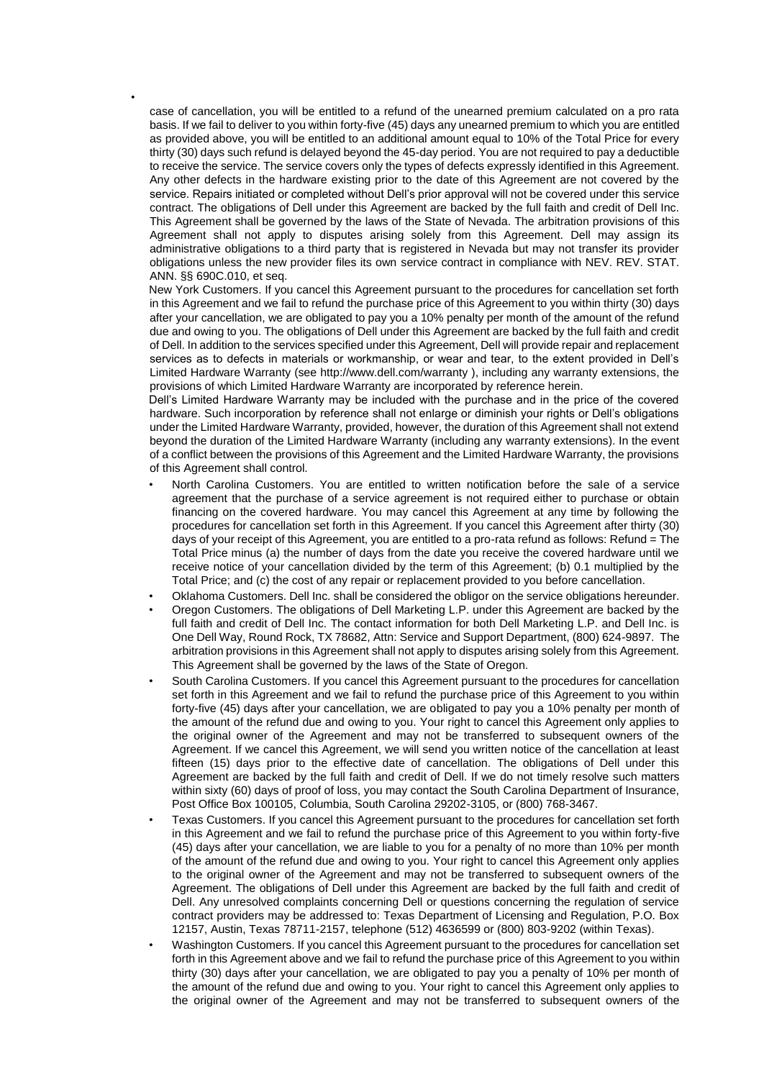case of cancellation, you will be entitled to a refund of the unearned premium calculated on a pro rata basis. If we fail to deliver to you within forty-five (45) days any unearned premium to which you are entitled as provided above, you will be entitled to an additional amount equal to 10% of the Total Price for every thirty (30) days such refund is delayed beyond the 45-day period. You are not required to pay a deductible to receive the service. The service covers only the types of defects expressly identified in this Agreement. Any other defects in the hardware existing prior to the date of this Agreement are not covered by the service. Repairs initiated or completed without Dell's prior approval will not be covered under this service contract. The obligations of Dell under this Agreement are backed by the full faith and credit of Dell Inc. This Agreement shall be governed by the laws of the State of Nevada. The arbitration provisions of this Agreement shall not apply to disputes arising solely from this Agreement. Dell may assign its administrative obligations to a third party that is registered in Nevada but may not transfer its provider obligations unless the new provider files its own service contract in compliance with NEV. REV. STAT. ANN. §§ 690C.010, et seq.

•

New York Customers. If you cancel this Agreement pursuant to the procedures for cancellation set forth in this Agreement and we fail to refund the purchase price of this Agreement to you within thirty (30) days after your cancellation, we are obligated to pay you a 10% penalty per month of the amount of the refund due and owing to you. The obligations of Dell under this Agreement are backed by the full faith and credit of Dell. In addition to the services specified under this Agreement, Dell will provide repair and replacement services as to defects in materials or workmanship, or wear and tear, to the extent provided in Dell's Limited Hardware Warranty (see http://www.dell.com/warranty ), including any warranty extensions, the provisions of which Limited Hardware Warranty are incorporated by reference herein.

Dell's Limited Hardware Warranty may be included with the purchase and in the price of the covered hardware. Such incorporation by reference shall not enlarge or diminish your rights or Dell's obligations under the Limited Hardware Warranty, provided, however, the duration of this Agreement shall not extend beyond the duration of the Limited Hardware Warranty (including any warranty extensions). In the event of a conflict between the provisions of this Agreement and the Limited Hardware Warranty, the provisions of this Agreement shall control.

- North Carolina Customers. You are entitled to written notification before the sale of a service agreement that the purchase of a service agreement is not required either to purchase or obtain financing on the covered hardware. You may cancel this Agreement at any time by following the procedures for cancellation set forth in this Agreement. If you cancel this Agreement after thirty (30) days of your receipt of this Agreement, you are entitled to a pro-rata refund as follows: Refund = The Total Price minus (a) the number of days from the date you receive the covered hardware until we receive notice of your cancellation divided by the term of this Agreement; (b) 0.1 multiplied by the Total Price; and (c) the cost of any repair or replacement provided to you before cancellation.
- Oklahoma Customers. Dell Inc. shall be considered the obligor on the service obligations hereunder.
- Oregon Customers. The obligations of Dell Marketing L.P. under this Agreement are backed by the full faith and credit of Dell Inc. The contact information for both Dell Marketing L.P. and Dell Inc. is One Dell Way, Round Rock, TX 78682, Attn: Service and Support Department, (800) 624-9897. The arbitration provisions in this Agreement shall not apply to disputes arising solely from this Agreement. This Agreement shall be governed by the laws of the State of Oregon.
- South Carolina Customers. If you cancel this Agreement pursuant to the procedures for cancellation set forth in this Agreement and we fail to refund the purchase price of this Agreement to you within forty-five (45) days after your cancellation, we are obligated to pay you a 10% penalty per month of the amount of the refund due and owing to you. Your right to cancel this Agreement only applies to the original owner of the Agreement and may not be transferred to subsequent owners of the Agreement. If we cancel this Agreement, we will send you written notice of the cancellation at least fifteen (15) days prior to the effective date of cancellation. The obligations of Dell under this Agreement are backed by the full faith and credit of Dell. If we do not timely resolve such matters within sixty (60) days of proof of loss, you may contact the South Carolina Department of Insurance, Post Office Box 100105, Columbia, South Carolina 29202-3105, or (800) 768-3467.
- Texas Customers. If you cancel this Agreement pursuant to the procedures for cancellation set forth in this Agreement and we fail to refund the purchase price of this Agreement to you within forty-five (45) days after your cancellation, we are liable to you for a penalty of no more than 10% per month of the amount of the refund due and owing to you. Your right to cancel this Agreement only applies to the original owner of the Agreement and may not be transferred to subsequent owners of the Agreement. The obligations of Dell under this Agreement are backed by the full faith and credit of Dell. Any unresolved complaints concerning Dell or questions concerning the regulation of service contract providers may be addressed to: Texas Department of Licensing and Regulation, P.O. Box 12157, Austin, Texas 78711-2157, telephone (512) 4636599 or (800) 803-9202 (within Texas).
- Washington Customers. If you cancel this Agreement pursuant to the procedures for cancellation set forth in this Agreement above and we fail to refund the purchase price of this Agreement to you within thirty (30) days after your cancellation, we are obligated to pay you a penalty of 10% per month of the amount of the refund due and owing to you. Your right to cancel this Agreement only applies to the original owner of the Agreement and may not be transferred to subsequent owners of the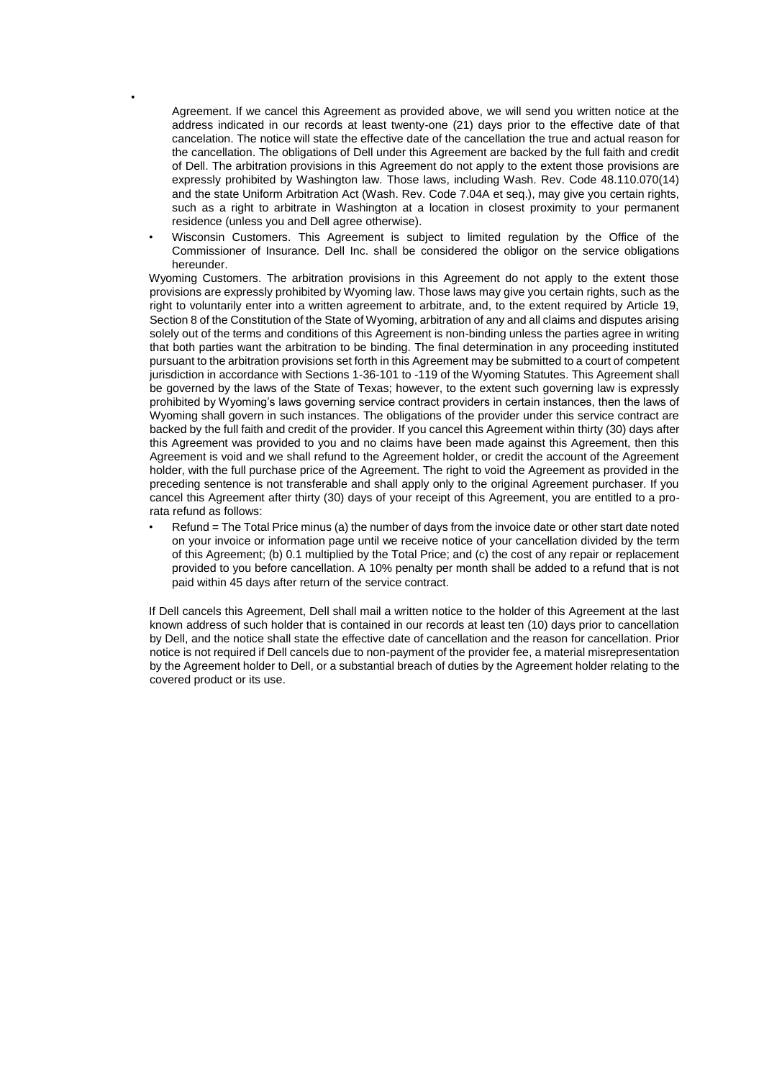Agreement. If we cancel this Agreement as provided above, we will send you written notice at the address indicated in our records at least twenty-one (21) days prior to the effective date of that cancelation. The notice will state the effective date of the cancellation the true and actual reason for the cancellation. The obligations of Dell under this Agreement are backed by the full faith and credit of Dell. The arbitration provisions in this Agreement do not apply to the extent those provisions are expressly prohibited by Washington law. Those laws, including Wash. Rev. Code 48.110.070(14) and the state Uniform Arbitration Act (Wash. Rev. Code 7.04A et seq.), may give you certain rights, such as a right to arbitrate in Washington at a location in closest proximity to your permanent residence (unless you and Dell agree otherwise).

•

• Wisconsin Customers. This Agreement is subject to limited regulation by the Office of the Commissioner of Insurance. Dell Inc. shall be considered the obligor on the service obligations hereunder.

Wyoming Customers. The arbitration provisions in this Agreement do not apply to the extent those provisions are expressly prohibited by Wyoming law. Those laws may give you certain rights, such as the right to voluntarily enter into a written agreement to arbitrate, and, to the extent required by Article 19, Section 8 of the Constitution of the State of Wyoming, arbitration of any and all claims and disputes arising solely out of the terms and conditions of this Agreement is non-binding unless the parties agree in writing that both parties want the arbitration to be binding. The final determination in any proceeding instituted pursuant to the arbitration provisions set forth in this Agreement may be submitted to a court of competent jurisdiction in accordance with Sections 1-36-101 to -119 of the Wyoming Statutes. This Agreement shall be governed by the laws of the State of Texas; however, to the extent such governing law is expressly prohibited by Wyoming's laws governing service contract providers in certain instances, then the laws of Wyoming shall govern in such instances. The obligations of the provider under this service contract are backed by the full faith and credit of the provider. If you cancel this Agreement within thirty (30) days after this Agreement was provided to you and no claims have been made against this Agreement, then this Agreement is void and we shall refund to the Agreement holder, or credit the account of the Agreement holder, with the full purchase price of the Agreement. The right to void the Agreement as provided in the preceding sentence is not transferable and shall apply only to the original Agreement purchaser. If you cancel this Agreement after thirty (30) days of your receipt of this Agreement, you are entitled to a prorata refund as follows:

Refund = The Total Price minus (a) the number of days from the invoice date or other start date noted on your invoice or information page until we receive notice of your cancellation divided by the term of this Agreement; (b) 0.1 multiplied by the Total Price; and (c) the cost of any repair or replacement provided to you before cancellation. A 10% penalty per month shall be added to a refund that is not paid within 45 days after return of the service contract.

If Dell cancels this Agreement, Dell shall mail a written notice to the holder of this Agreement at the last known address of such holder that is contained in our records at least ten (10) days prior to cancellation by Dell, and the notice shall state the effective date of cancellation and the reason for cancellation. Prior notice is not required if Dell cancels due to non-payment of the provider fee, a material misrepresentation by the Agreement holder to Dell, or a substantial breach of duties by the Agreement holder relating to the covered product or its use.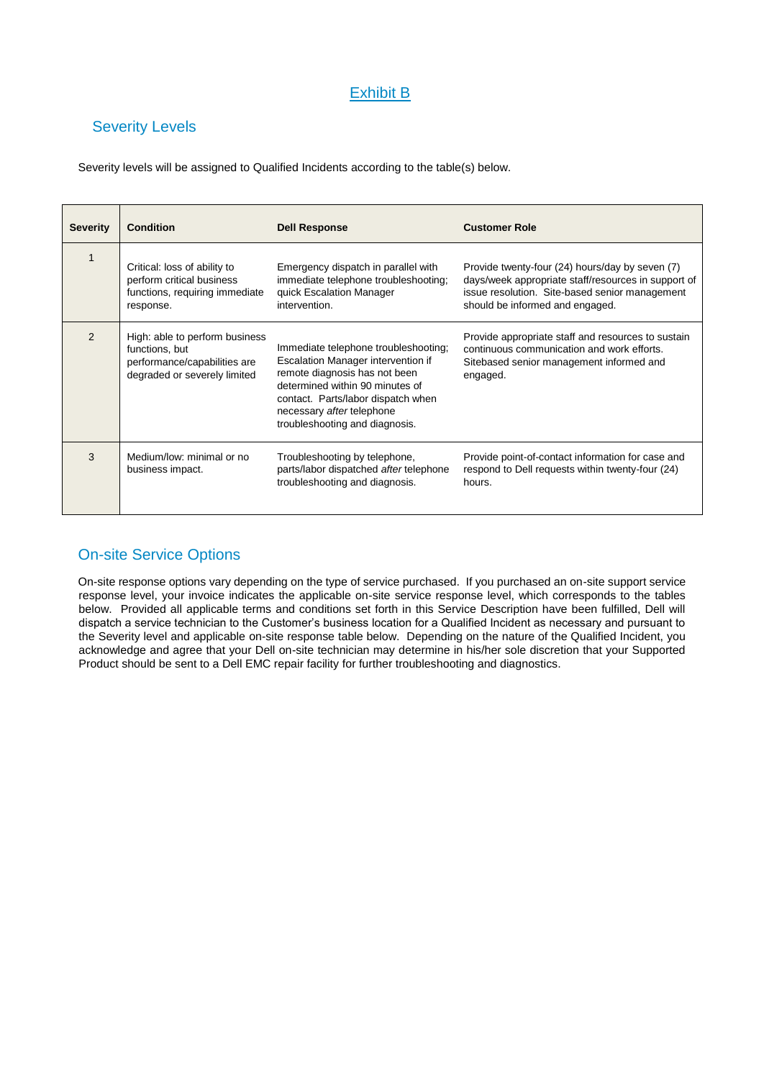# Exhibit B

# Severity Levels

Severity levels will be assigned to Qualified Incidents according to the table(s) below.

| <b>Severity</b> | <b>Condition</b>                                                                                                 | <b>Dell Response</b>                                                                                                                                                                                                                                | <b>Customer Role</b>                                                                                                                                                                        |
|-----------------|------------------------------------------------------------------------------------------------------------------|-----------------------------------------------------------------------------------------------------------------------------------------------------------------------------------------------------------------------------------------------------|---------------------------------------------------------------------------------------------------------------------------------------------------------------------------------------------|
| $\mathbf{1}$    | Critical: loss of ability to<br>perform critical business<br>functions, requiring immediate<br>response.         | Emergency dispatch in parallel with<br>immediate telephone troubleshooting;<br>quick Escalation Manager<br>intervention.                                                                                                                            | Provide twenty-four (24) hours/day by seven (7)<br>days/week appropriate staff/resources in support of<br>issue resolution. Site-based senior management<br>should be informed and engaged. |
| $\mathcal{P}$   | High: able to perform business<br>functions, but<br>performance/capabilities are<br>degraded or severely limited | Immediate telephone troubleshooting;<br>Escalation Manager intervention if<br>remote diagnosis has not been<br>determined within 90 minutes of<br>contact. Parts/labor dispatch when<br>necessary after telephone<br>troubleshooting and diagnosis. | Provide appropriate staff and resources to sustain<br>continuous communication and work efforts.<br>Sitebased senior management informed and<br>engaged.                                    |
| 3               | Medium/low: minimal or no<br>business impact.                                                                    | Troubleshooting by telephone,<br>parts/labor dispatched after telephone<br>troubleshooting and diagnosis.                                                                                                                                           | Provide point-of-contact information for case and<br>respond to Dell requests within twenty-four (24)<br>hours.                                                                             |

# On-site Service Options

On-site response options vary depending on the type of service purchased. If you purchased an on-site support service response level, your invoice indicates the applicable on-site service response level, which corresponds to the tables below. Provided all applicable terms and conditions set forth in this Service Description have been fulfilled, Dell will dispatch a service technician to the Customer's business location for a Qualified Incident as necessary and pursuant to the Severity level and applicable on-site response table below. Depending on the nature of the Qualified Incident, you acknowledge and agree that your Dell on-site technician may determine in his/her sole discretion that your Supported Product should be sent to a Dell EMC repair facility for further troubleshooting and diagnostics.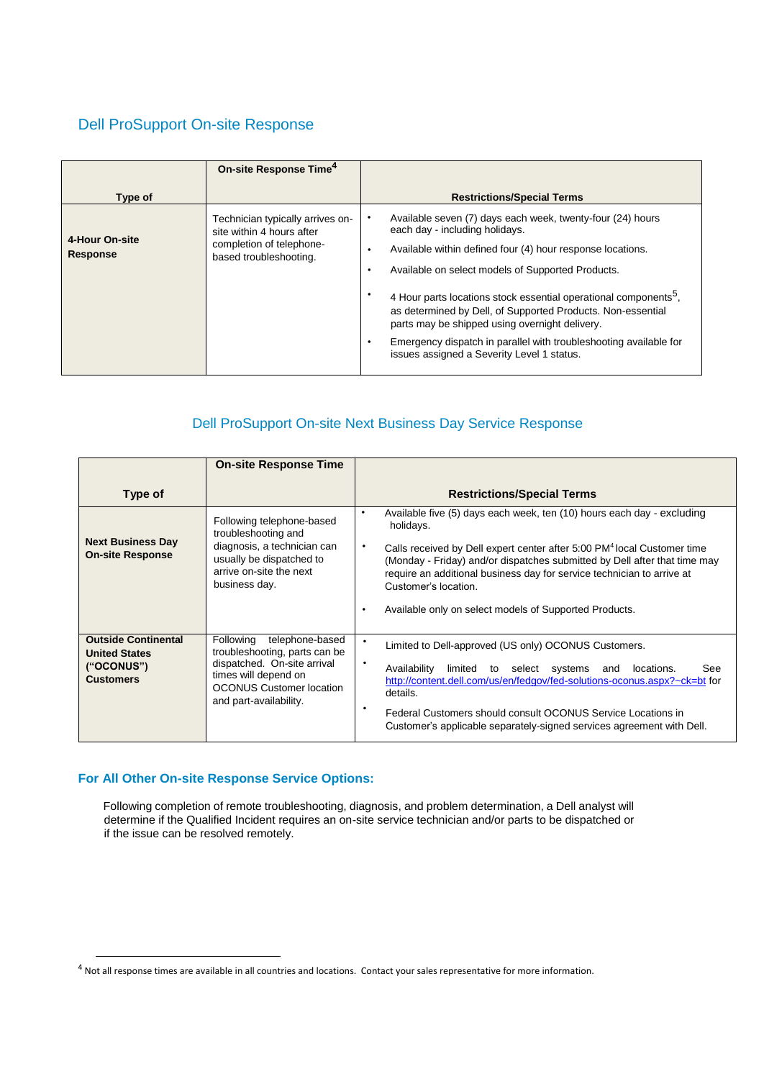# Dell ProSupport On-site Response

|                            | On-site Response Time <sup>4</sup>                                                                                  |                                                                                                                                                                                                                                                                                                                                                                                                                                                                                                                                               |
|----------------------------|---------------------------------------------------------------------------------------------------------------------|-----------------------------------------------------------------------------------------------------------------------------------------------------------------------------------------------------------------------------------------------------------------------------------------------------------------------------------------------------------------------------------------------------------------------------------------------------------------------------------------------------------------------------------------------|
| Type of                    |                                                                                                                     | <b>Restrictions/Special Terms</b>                                                                                                                                                                                                                                                                                                                                                                                                                                                                                                             |
| 4-Hour On-site<br>Response | Technician typically arrives on-<br>site within 4 hours after<br>completion of telephone-<br>based troubleshooting. | Available seven (7) days each week, twenty-four (24) hours<br>each day - including holidays.<br>Available within defined four (4) hour response locations.<br>٠<br>Available on select models of Supported Products.<br>٠<br>4 Hour parts locations stock essential operational components <sup>5</sup> .<br>as determined by Dell, of Supported Products. Non-essential<br>parts may be shipped using overnight delivery.<br>Emergency dispatch in parallel with troubleshooting available for<br>issues assigned a Severity Level 1 status. |

# Dell ProSupport On-site Next Business Day Service Response

|                                                                                      | <b>On-site Response Time</b>                                                                                                                                                      |                                                                                                                                                                                                                                                                                                                                                                                                                                           |
|--------------------------------------------------------------------------------------|-----------------------------------------------------------------------------------------------------------------------------------------------------------------------------------|-------------------------------------------------------------------------------------------------------------------------------------------------------------------------------------------------------------------------------------------------------------------------------------------------------------------------------------------------------------------------------------------------------------------------------------------|
| Type of                                                                              |                                                                                                                                                                                   | <b>Restrictions/Special Terms</b>                                                                                                                                                                                                                                                                                                                                                                                                         |
| <b>Next Business Day</b><br><b>On-site Response</b>                                  | Following telephone-based<br>troubleshooting and<br>diagnosis, a technician can<br>usually be dispatched to<br>arrive on-site the next<br>business day.                           | Available five (5) days each week, ten (10) hours each day - excluding<br>٠<br>holidays.<br>٠<br>Calls received by Dell expert center after 5:00 PM <sup>4</sup> local Customer time<br>(Monday - Friday) and/or dispatches submitted by Dell after that time may<br>require an additional business day for service technician to arrive at<br>Customer's location<br>Available only on select models of Supported Products.<br>$\bullet$ |
| <b>Outside Continental</b><br><b>United States</b><br>("OCONUS")<br><b>Customers</b> | Following<br>telephone-based<br>troubleshooting, parts can be<br>dispatched. On-site arrival<br>times will depend on<br><b>OCONUS Customer location</b><br>and part-availability. | ٠<br>Limited to Dell-approved (US only) OCONUS Customers.<br>$\bullet$<br>Availability<br>limited to select systems and locations.<br>See<br>http://content.dell.com/us/en/fedgov/fed-solutions-oconus.aspx?~ck=bt for<br>details.<br>٠<br>Federal Customers should consult OCONUS Service Locations in<br>Customer's applicable separately-signed services agreement with Dell.                                                          |

### **For All Other On-site Response Service Options:**

-

Following completion of remote troubleshooting, diagnosis, and problem determination, a Dell analyst will determine if the Qualified Incident requires an on-site service technician and/or parts to be dispatched or if the issue can be resolved remotely.

 $4$  Not all response times are available in all countries and locations. Contact your sales representative for more information.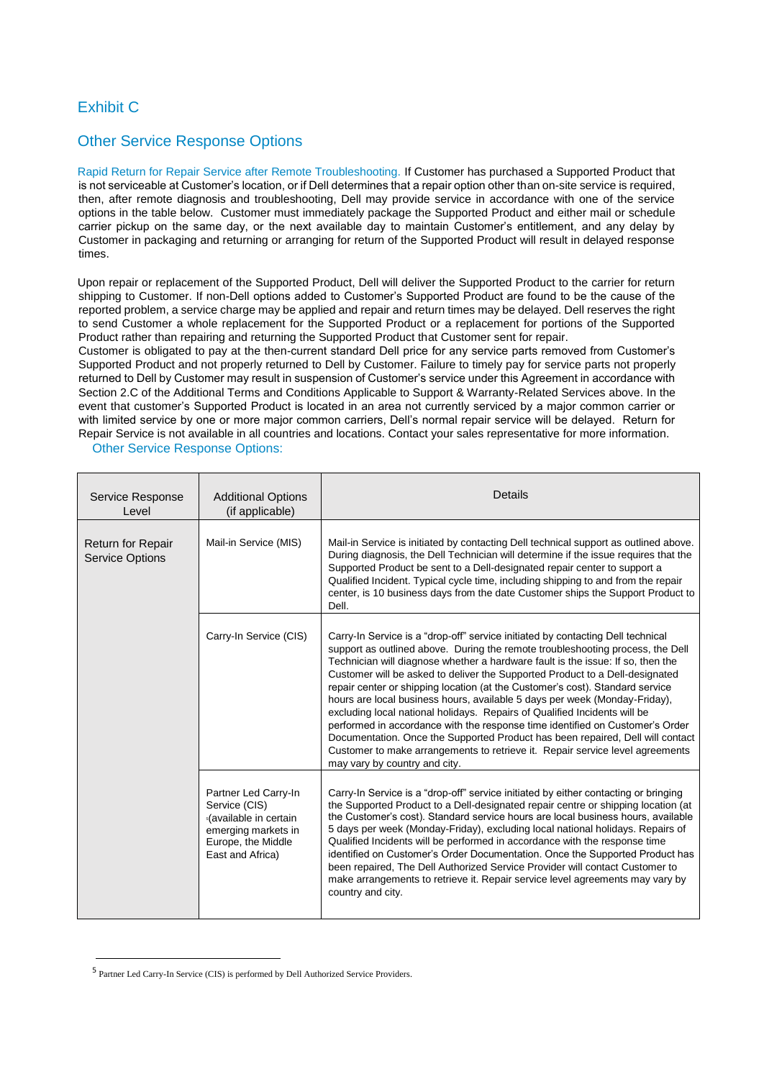## Exhibit C

### Other Service Response Options

Rapid Return for Repair Service after Remote Troubleshooting. If Customer has purchased a Supported Product that is not serviceable at Customer's location, or if Dell determines that a repair option other than on-site service is required, then, after remote diagnosis and troubleshooting, Dell may provide service in accordance with one of the service options in the table below. Customer must immediately package the Supported Product and either mail or schedule carrier pickup on the same day, or the next available day to maintain Customer's entitlement, and any delay by Customer in packaging and returning or arranging for return of the Supported Product will result in delayed response times.

Upon repair or replacement of the Supported Product, Dell will deliver the Supported Product to the carrier for return shipping to Customer. If non-Dell options added to Customer's Supported Product are found to be the cause of the reported problem, a service charge may be applied and repair and return times may be delayed. Dell reserves the right to send Customer a whole replacement for the Supported Product or a replacement for portions of the Supported Product rather than repairing and returning the Supported Product that Customer sent for repair.

Customer is obligated to pay at the then-current standard Dell price for any service parts removed from Customer's Supported Product and not properly returned to Dell by Customer. Failure to timely pay for service parts not properly returned to Dell by Customer may result in suspension of Customer's service under this Agreement in accordance with Section 2.C of the Additional Terms and Conditions Applicable to Support & Warranty-Related Services above. In the event that customer's Supported Product is located in an area not currently serviced by a major common carrier or with limited service by one or more major common carriers, Dell's normal repair service will be delayed. Return for Repair Service is not available in all countries and locations. Contact your sales representative for more information.

Other Service Response Options:

| Service Response<br>Level                          | <b>Additional Options</b><br>(if applicable)                                                                                     | Details                                                                                                                                                                                                                                                                                                                                                                                                                                                                                                                                                                                                                                                                                                                                                                                                                                                               |
|----------------------------------------------------|----------------------------------------------------------------------------------------------------------------------------------|-----------------------------------------------------------------------------------------------------------------------------------------------------------------------------------------------------------------------------------------------------------------------------------------------------------------------------------------------------------------------------------------------------------------------------------------------------------------------------------------------------------------------------------------------------------------------------------------------------------------------------------------------------------------------------------------------------------------------------------------------------------------------------------------------------------------------------------------------------------------------|
| <b>Return for Repair</b><br><b>Service Options</b> | Mail-in Service (MIS)                                                                                                            | Mail-in Service is initiated by contacting Dell technical support as outlined above.<br>During diagnosis, the Dell Technician will determine if the issue requires that the<br>Supported Product be sent to a Dell-designated repair center to support a<br>Qualified Incident. Typical cycle time, including shipping to and from the repair<br>center, is 10 business days from the date Customer ships the Support Product to<br>Dell.                                                                                                                                                                                                                                                                                                                                                                                                                             |
|                                                    | Carry-In Service (CIS)                                                                                                           | Carry-In Service is a "drop-off" service initiated by contacting Dell technical<br>support as outlined above. During the remote troubleshooting process, the Dell<br>Technician will diagnose whether a hardware fault is the issue: If so, then the<br>Customer will be asked to deliver the Supported Product to a Dell-designated<br>repair center or shipping location (at the Customer's cost). Standard service<br>hours are local business hours, available 5 days per week (Monday-Friday),<br>excluding local national holidays. Repairs of Qualified Incidents will be<br>performed in accordance with the response time identified on Customer's Order<br>Documentation. Once the Supported Product has been repaired, Dell will contact<br>Customer to make arrangements to retrieve it. Repair service level agreements<br>may vary by country and city. |
|                                                    | Partner Led Carry-In<br>Service (CIS)<br>s(available in certain<br>emerging markets in<br>Europe, the Middle<br>East and Africa) | Carry-In Service is a "drop-off" service initiated by either contacting or bringing<br>the Supported Product to a Dell-designated repair centre or shipping location (at<br>the Customer's cost). Standard service hours are local business hours, available<br>5 days per week (Monday-Friday), excluding local national holidays. Repairs of<br>Qualified Incidents will be performed in accordance with the response time<br>identified on Customer's Order Documentation. Once the Supported Product has<br>been repaired, The Dell Authorized Service Provider will contact Customer to<br>make arrangements to retrieve it. Repair service level agreements may vary by<br>country and city.                                                                                                                                                                    |

<sup>&</sup>lt;sup>5</sup> Partner Led Carry-In Service (CIS) is performed by Dell Authorized Service Providers.

 $\overline{a}$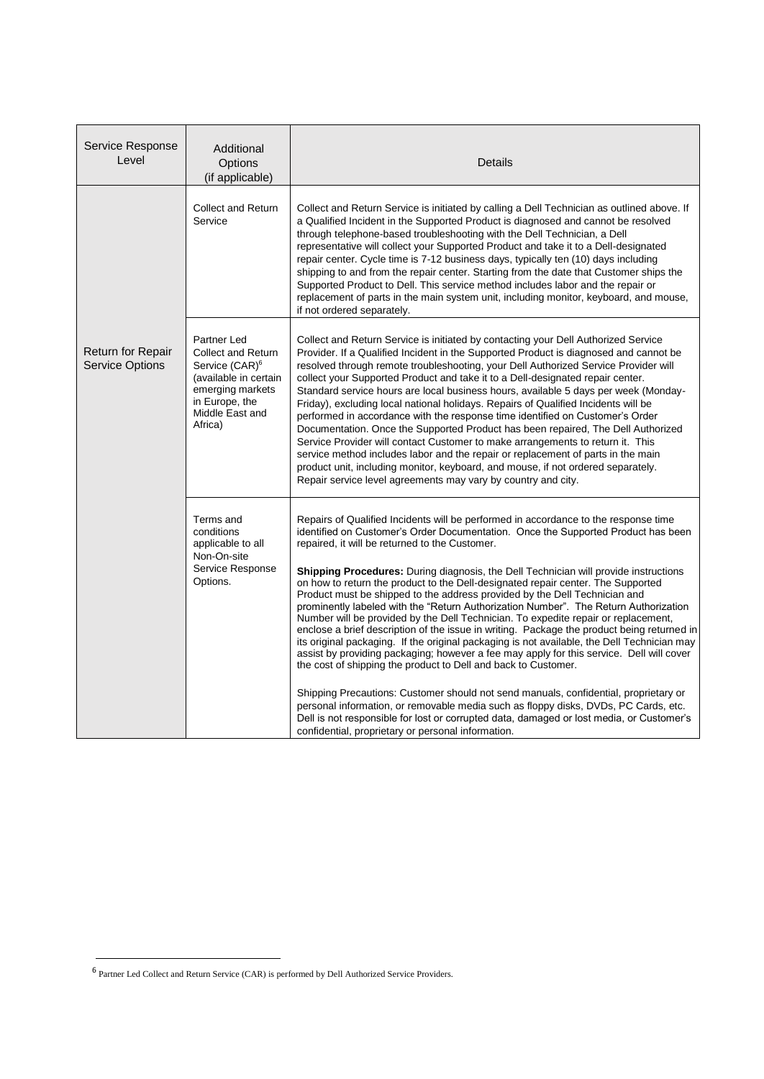| Service Response<br>Level                          | Additional<br>Options<br>(if applicable)                                                                                                                            | Details                                                                                                                                                                                                                                                                                                                                                                                                                                                                                                                                                                                                                                                                                                                                                                                                                                                                                                                                                                                                                                                                                                                                                                                                                                                                                                                                                               |
|----------------------------------------------------|---------------------------------------------------------------------------------------------------------------------------------------------------------------------|-----------------------------------------------------------------------------------------------------------------------------------------------------------------------------------------------------------------------------------------------------------------------------------------------------------------------------------------------------------------------------------------------------------------------------------------------------------------------------------------------------------------------------------------------------------------------------------------------------------------------------------------------------------------------------------------------------------------------------------------------------------------------------------------------------------------------------------------------------------------------------------------------------------------------------------------------------------------------------------------------------------------------------------------------------------------------------------------------------------------------------------------------------------------------------------------------------------------------------------------------------------------------------------------------------------------------------------------------------------------------|
|                                                    | <b>Collect and Return</b><br>Service                                                                                                                                | Collect and Return Service is initiated by calling a Dell Technician as outlined above. If<br>a Qualified Incident in the Supported Product is diagnosed and cannot be resolved<br>through telephone-based troubleshooting with the Dell Technician, a Dell<br>representative will collect your Supported Product and take it to a Dell-designated<br>repair center. Cycle time is 7-12 business days, typically ten (10) days including<br>shipping to and from the repair center. Starting from the date that Customer ships the<br>Supported Product to Dell. This service method includes labor and the repair or<br>replacement of parts in the main system unit, including monitor, keyboard, and mouse,<br>if not ordered separately.                                                                                                                                                                                                                                                                                                                                                                                                                                                                                                                                                                                                                          |
| <b>Return for Repair</b><br><b>Service Options</b> | Partner Led<br><b>Collect and Return</b><br>Service (CAR) <sup>6</sup><br>(available in certain<br>emerging markets<br>in Europe, the<br>Middle East and<br>Africa) | Collect and Return Service is initiated by contacting your Dell Authorized Service<br>Provider. If a Qualified Incident in the Supported Product is diagnosed and cannot be<br>resolved through remote troubleshooting, your Dell Authorized Service Provider will<br>collect your Supported Product and take it to a Dell-designated repair center.<br>Standard service hours are local business hours, available 5 days per week (Monday-<br>Friday), excluding local national holidays. Repairs of Qualified Incidents will be<br>performed in accordance with the response time identified on Customer's Order<br>Documentation. Once the Supported Product has been repaired, The Dell Authorized<br>Service Provider will contact Customer to make arrangements to return it. This<br>service method includes labor and the repair or replacement of parts in the main<br>product unit, including monitor, keyboard, and mouse, if not ordered separately.<br>Repair service level agreements may vary by country and city.                                                                                                                                                                                                                                                                                                                                     |
|                                                    | Terms and<br>conditions<br>applicable to all<br>Non-On-site<br>Service Response<br>Options.                                                                         | Repairs of Qualified Incidents will be performed in accordance to the response time<br>identified on Customer's Order Documentation. Once the Supported Product has been<br>repaired, it will be returned to the Customer.<br><b>Shipping Procedures:</b> During diagnosis, the Dell Technician will provide instructions<br>on how to return the product to the Dell-designated repair center. The Supported<br>Product must be shipped to the address provided by the Dell Technician and<br>prominently labeled with the "Return Authorization Number". The Return Authorization<br>Number will be provided by the Dell Technician. To expedite repair or replacement,<br>enclose a brief description of the issue in writing. Package the product being returned in<br>its original packaging. If the original packaging is not available, the Dell Technician may<br>assist by providing packaging; however a fee may apply for this service. Dell will cover<br>the cost of shipping the product to Dell and back to Customer.<br>Shipping Precautions: Customer should not send manuals, confidential, proprietary or<br>personal information, or removable media such as floppy disks, DVDs, PC Cards, etc.<br>Dell is not responsible for lost or corrupted data, damaged or lost media, or Customer's<br>confidential, proprietary or personal information. |

 $\overline{a}$ 

<sup>&</sup>lt;sup>6</sup> Partner Led Collect and Return Service (CAR) is performed by Dell Authorized Service Providers.